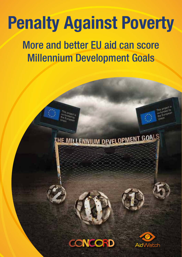# Confédération européenne des ONG d'urgence et de la propée de la propée de la propie et de développement de la European NGO confederation for relief and development Penalty Against Poverty

More and better EU aid can score Millennium Development Goals

HE MILLENNIUM DEVELOPMENT GOALS



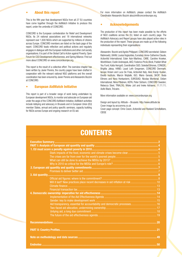#### • About this report

This is the ifth year that development NGOs from all 27 EU countries have come together through the AidWatch Initiative to produce this report, under the umbrella of CONCORD.

CONCORD is the European confederation for Relief and Development NGOs. Its 24 national associations and 18 international networks represent over 1,600 NGOs which are supported by millions of citizens across Europe. CONCORD members are listed on the back page of the report. CONCORD leads reflection and political actions and regularly engages in dialogue with the European institutions and other civil society organisations. It is part of the Global Call to Action against Poverty, Open Forum for CSO Development effectiveness, and Spring Alliance. Find out more about CONCORD on www.concordeurope.org.

This report is the result of a collective effort. The overview chapter has been written by Javier Pereira, the country pages have been drafted in cooperation with the relevant national NGO platforms and the overall coordination has been ensured by Javier Pereira and Alessandro Bozzini at CONCORD.

#### • European AidWatch Initiative

This report is part of a broader range of work being undertaken by European development NGOs, to monitor and advocate on European aid under the aegis of the CONCORD AidWatch Initiative. AidWatch activities include lobbying and advocacy in Brussels and in European Union (EU) member States, annual and policy specific seminars, capacity building for NGOs across Europe and ongoing research on EU aid.

For more information on AidWatch, please contact the AidWatch Coordinator Alessandro Bozzini abozzini@concordeurope.org.

### • Acknowledgements

The production of this report has been made possible by the efforts of NGO coalitions across the EU, listed on each country page. The AidWatch Advocacy and Report groups have also played active roles in the production of the report. These groups are made up of the following individuals representing their organisations:

Alessandro Bozzini and Agnès Philippart, CONCORD secretariat; Gideon Rabinowitz, UKAN; Louisa Vogiazides, Eurostep; Anne-Catherine Claude, ActionAid International; Ester Asin-Martinez, CARE; Caroline Kroeker, WorldVision; Evelin Andrespok, AKÜ; Federico Pirzio-Biroli, Publish What You Fund; Katia Herrgott, Coordination SUD; Soledad Briones, CONGDE; Brigitta Jaksa, HAND; Laust Leth Gregersen, CONCORD Denmark; Iacopo Viciani and Luca De Fraia, ActionAid Italy; Ales Kranjc Kuslan, Ekvilib Institute; Marcin Wojtalik, IGO; Mario Gerada, SKOP; Bodo Ellmers and Nora Honkaniemi, EURODAD; Nicolas Mombrial, Oxfam International; Niina Pitkänen, KEPA; Peter Sörbom, CONCORD Sweden; Rebecca Steel, TRIALOG; Wiske Jult and Ineke Adriaens, 11.11.11; Aoife Black, Trócaire.

More information available on: www.concordeurope.org

Design and layout by: Altitude – Brussels: http://www.altitude.be Cover image by arccomms.co.uk

Cover page concept: Chris Coxon, ActionAid and Roeland Scholtalbers, CIDSE

# **CONTENTS**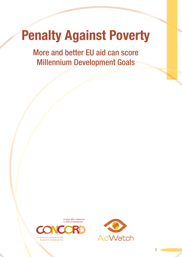# Penalty Against Poverty

More and better EU aid can score Millennium Development Goals

> European NGO confederation for relief and development



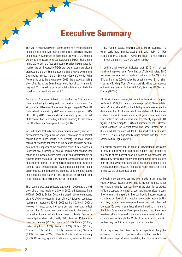# Executive Summary

This year's annual AidWatch Report comes at a critical moment in the complex and ever changing struggle to eradicate poverty and inequality worldwide. In September this year, a UN Summit will be held to assess progress towards the MDGs. Sitting here in mid-2010, with the food and economic crisis having raged for much of the last 3 years, the MDGs are now an even more distant prospect and the UN Summit needs to find a way to avoid these Goals being missed. In the UN Secretary General's words: "With five years to go to the target date of 2015, the prospect of falling short of achieving the Goals because of a lack of commitment is very real. This would be an unacceptable failure from both the moral and the practical standpoint."

 $\star$ 

For the past four years, AidWatch has tracked the EU's progress towards achieving its aid quantity and quality commitments. On aid quantity, EU Member States have pledged to give 0.7% of EU GNI as development aid by 2015 and an interim target of 0.56% of EU GNI by 2010. This commitment was made by the EU as part of its contribution to providing suficient inancing to help reach the UN Millennium Development Goals (MDGs).

We understand that aid alone cannot eradicate poverty and solve development challenges, but we know it can make an important contribution to these efforts. It is currently the most flexible source of financing for many of the poorest countries as they deal with the impacts of the economic crisis; it has played an important role in getting at least 30 million extra children into school in sub-Saharan Africa since 2000; and coordinated aid to support sector strategies - an approach encouraged by the aid effectiveness agenda - is delivering significant impacts in sectors such as health and agriculture. Given these and potential future achievements, the disappointing progress of EU member states on aid quantity and quality in 2009 illustrated in this report is a major threat to these EU's development ambitions.

This report shows that aid levels stagnated in 2009 and are well short of promised levels for 2010. In 2009, aid decreased from €50bn in 2008 to €49bn. Despite the drop in absolute numbers, aid in % of GNI increased in 16 out of the 27 European countries, reaching an average 0.42% in 2009 (up from 0.40% in 2008). However, in most cases the advances are small and reflect the fact that EU economies contracted due to the economic crisis rather than a real effort to increase aid levels. Figures in constant prices show that in reality ODA only rose in 13 European countries: Hungary (23.1%), Romania (17.5%), France (16.9%), United Kingdom (14.6%), Poland (13.4%), Finland (13.1%), Cyprus (11.7%), Belgium (11.5%), Sweden (7.4%), Slovenia (7.1%), Denmark (4.2%), Lithuania (2.4%) and Luxembourg (1.9%). Conversely, signiicant falls were registered in the other

14 EU Member States, including several EU-15 countries. The worst performers include: Austria (-31.2%), Italy (-31.1%), Ireland (-18.9%), Slovakia (-17.8%), Portugal (-15.7%), Bulgaria (-12.7%), Germany (-12.0%), Greece (-12.0%).

In addition, all evidence indicates that 2010 will not see significant improvements. According to official estimates, 2010 aid levels are expected to reach a maximum of 0.46% of the GNI, far from the 0.56% collective target and over  $€11$ bn short in terms of funding. Most of these shortfalls will be consequence of insufficient funding by Italy ( $\epsilon$ 4.5bn), Germany ( $\epsilon$ 2.6bn) and France (€800m).

Official aid figures, however, fail to capture the reality of European aid flows. In 2009, European countries reported €3.8bn of inflated aid as ODA, or almost 8% of the total figure. A breakdown of the data shows that €1.4bn was debt cancellation, €1.5bn student costs and almost €1bn was spent on refugees in donor countries. Once inflated aid is discounted from the officially reported ODA figures, aid levels drop to 0.38% of European GNI. If EU Member States continue the current trend and once inflated aid is discounted, EU countries will fall €19bn short of their promises in 2010. This is a significantly larger amount than the  $\epsilon$ 11bn shortfall official figures predict.

It is widely accepted that in order for development assistance to provide effective and sustainable support that responds to the needs of the poorest people it needs to be managed and directed by developing country institutions under close scrutiny from citizens. Ownership is therefore the central element of the Paris Declaration, the Accra Agenda for Action and other efforts to improve the effectiveness of aid.

Although important progress has been made in this area, this year's AidWatch Report shows that EU donors continue to fall well short of what is required. They all too often fail to provide sufficient support to women's, poor and marginalised groups; they remain un-transparent; they continue to impose excessive conditions on their aid that weaken democratic accountability; and they pursue non-development objectives with their aid. Moreover, EU governments have shown limited commitment to the Policy Coherence for Development agenda and there have also been efforts by some EU member states to redefine their aid commitments – through the Whole of Union approach – which we fear may result in less support to poor countries.

Some might say that given the huge impacts of the global economic crisis on Europe such disappointing trends in EU development support were inevitable, but this is simply not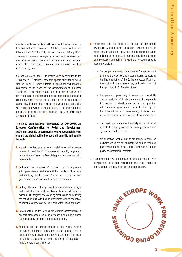true. With sufficient political will from the  $EU - as$  shown by their financial sector bailouts of  $€1$  trillion, equivalent to all aid delivered since 1960, and by the increases in ODA registered in some countries – an emergency development response could have been mobilised. Given that the economic crisis has now moved into its third year, EU member states should have done much more by now.

It is not too late for the EU to maximise its contribution to the MDGs and 2010 provides important opportunities for doing so, with the UN MDG Review Summit in September and important discussions taking place on the achievements of the Paris Declaration. If EU countries can use these fora to renew their commitments to meet their aid promises, to implement ambitious aid effectiveness reforms and use their other policies to better support development then a genuine development partnership will emerge that will help ensure that 2010 is remembered for our efforts to score the most important goals, the Millennium Development Goals.

The 1,600 organisations represented by CONCORD, the European Confederation for Relief and Development NGOs, call upon EU governments to take responsibility for leading the global call to increase aid quantity and quality through:

- **1.** Agreeing binding year on year timetables of aid increases required to meet the 2015 European aid quantity targets and demonstrate with regular financial reports how they are being implemented.
- **2.** Endorsing the European Commission call to implement a EU peer review mechanism at the Heads of State level and involving the European Parliament, in order to hold governments to account on their aid commitments.
- **3.** Ending inflation of aid budgets with debt cancellation, refugee and student costs; making climate finance additional to existing ODA targets; and stopping discussions on widening the definition of ODA to include other items such as security or migration as suggested by the Whole of the Union approach.
- 4. Implementing, on top of their aid quantity commitments, a financial transaction tax to help finance global public goods such as poverty reduction and climate change.
- **5.** Speeding up the implementation of the Accra Agenda for Action and Paris Declaration at the national level in consultation with developing countries; and putting in place an annual process for concrete monitoring of progress on Paris and Accra commitments.
- **6.** Embracing and promoting the concept of democratic ownership by going beyond measuring ownership through alignment, ensuring that the voices and concerns of citizens and parliaments are central to national development plans and processes and taking forward the following specific recommendations:
	- Gender: put gender equality and women's empowerment at the centre of development cooperation by supporting the implementation of the EU Gender Action Plan with financial and human resources, and taking stock of best practices in EU Member States.
	- Transparency: proactively increase the availability and accessibility of timely accurate and comparable information on development policy and practice. All European governments should sign up to the International Aid Transparency Initiative, and demonstrate how they will implement its commitments.
	- Untying aid and procurement: end all practices of formal or de facto aid tying and use developing countries own systems as the first option.
	- Aid allocation: ensure that no aid money is spent on activities which are not primarily focused on reducing poverty and that aid is not used to pursue donor foreign policy or commercial interests.
- 7. Demonstrating how all European policies are coherent with development objectives, including in the crucial areas of trade, climate change, migration and food security.

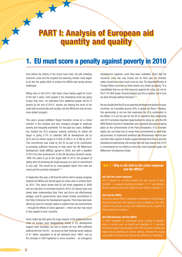# PART I: Analysis of European aid quantity and quality

# 1. EU must score a penalty against poverty in 2010

Even before the effects of the recent food crisis, the still unfolding economic crisis and the incipient but daunting climate crisis began to be felt, the global effort to achieve the MDGs was facing serious challenges.

Sitting here in mid-2010, with these crises having raged for much of the last 3 years, more people in the developing world are going hungry than ever;<sup>1</sup> an estimated 63m additional people will be in poverty by the end of 2010;<sup>2</sup> women are bearing the brunt of the crisis both economically and socially; and the MDGs are now an even more distant prospect.

This year's annual AidWatch Report therefore comes at a critical moment in the complex and ever changing struggle to eradicate poverty and inequality worldwide. For the past four years, AidWatch has tracked the EU's progress towards achieving its stated aid target of giving 0.7% of collective GNI as development aid by 2015 and an interim target of 0.56% of ODA in % of GNI by 2010. This commitment was made by the EU as part of its contribution to providing sufficient financing to help reach the UN Millennium Development Goals (MDGs), agreed in 2000, and with a deadline of 2015 for their achievement. In the UN Secretary General's words: "With five years to go to the target date of 2015, the prospect of falling short of achieving the Goals because of a lack of commitment is very real. This would be an unacceptable failure from both the moral and the practical standpoint". <sup>3</sup>

In September this year, a UN Summit will be held to assess progress towards the MDGs and should agree an action plan to achieve them by 2015. This report shows that EU aid levels stagnated in 2009 and are well short of promised levels for 2010; EU donors have only slowly been implementing their Paris and Accra aid effectiveness pledges; and EU governments have shown limited commitment to the Policy Coherence for Development agenda. There have also been efforts by some EU member states to redeine their aid commitments – through the Whole of Union approach – which we fear may result in less support to poor countries.

Some might say that given the huge impacts of the global economic crisis on Europe such disappointing trends in EU development support were inevitable, but this is simply not true. With suficient political will from the EU – as shown by their inancial sector bailouts of €1 trillion, equivalent to all aid delivered since 1960<sup>4</sup> , and by the increase in ODA registered in some countries – an emergency

development response could have been mobilised. Given that the economic crisis has now moved into its third year, EU member states should have done much more by now. The Spanish Ministry of Foreign Affairs summed up these points very clearly by saying: "It is unjustifiable that we can find resources against the crisis, but not for the 0.7% ODA target. Several analysts say this is utopian, but it must be done through political decisions."<sup>5</sup>

No one doubts that the EU is an essential development partner for poor countries, as it provides around 55% of global aid flows.<sup>6</sup> However, this partnership is not one that maximises the EU's contribution to the MDGs. It is not too late for the EU to transform this relationship and 2010 provides important opportunities for doing so, with the UN MDG Review Summit in September and important discussions taking place on the achievements of the Paris Declaration. If EU member states can use these fora to renew their commitments to meet their aid promises, to implement ambitious aid effectiveness reforms and use their other policies to better support development then a genuine development partnership will emerge that will help ensure that 2010 is remembered for our efforts to score the most important goals, the Millennium Development Goals.

### Box 1 : Why is aid vital to the crisis response and the MDGs?

#### Aid and the crisis response

Aid is thought to currently provide the only source of fiscal flexibility  $-$  to support spending increases  $-$  in 11 sub-Saharan African countries and to be critical to such efforts in another 14.7

#### Aid and the MDGs

During the period 2000-5 spending on education in sub-Saharan Africa increased by 29% helping to get an additional 25m-30m children into primary school; aid contributed up to a quarter of these spending increases.<sup>8</sup>

#### Aid effectiveness and the MDGs

A 2009 evaluation of coordinated donor funding of strategic found this support had provided 10%-40% of sector funding and helped focus spending on service delivery, improve the equity and quality of services and improve the efficiency of spending.<sup>9</sup>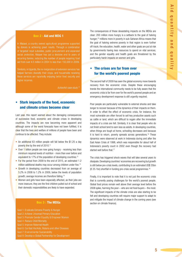### Box 2 : Aid and MDG 1

In Malawi, a country owned agricultural programme supported by donors is achieving great results. Through a combination of targeted input subsidies, public procurement and expanded social protection, Malawi has put a decisive end to years of recurring famine, reducing the number of people requiring food aid from over 4.5 million in 2004 to less than 150,000 in 2009.

Similarly, in Uganda, the re-invigoration of extension services has helped farmers diversify their crops, and households receiving these services are reportedly enjoying better food security and higher incomes.

ActionAid case study.<sup>10</sup>

# • Stark impacts of the food, economic and climate crises become clear

Last year, this report warned about the damaging consequences of successive food, economic and climate crises in developing countries. The impacts are now becoming more apparent and although some of the worst forecasts have not been fulfilled, it is clear that the lives and welfare of millions of people have been and continue to be affected. They include:

- An additional 63 million people will fall below the \$1.25 a day poverty line by the end of 2010.<sup>11</sup>
- Over 1 billion people are now going hungry receiving less than minimum required levels of nutrition - more than ever before and equivalent to 17% of the population of developing countries.<sup>12</sup>
- For the period from 2009 to the end of 2015, an estimated 1.2 million additional deaths may occur among children under five.<sup>13</sup>
- Growth in developing countries decreased from an average of 5.2% in 2008 to 1.2% in 2009, below the levels of population growth; average incomes are therefore falling.<sup>14</sup>
- Women and girls have been especially affected, as their jobs are more insecure, they are the first children pulled out of school and their domestic responsibilities are likely to have expanded.

### Box 3 : The MDGs

Goal 1: Eradicate Extreme Poverty & Hunger Goal 2: Achieve Universal Primary Education Goal 3: Promote Gender Equality & Empower Women Goal 4: Reduce Child Mortality Goal 5: Improve Maternal Health Goal 6: Combat Hiv/Aids, Malaria and other Diseases Goal 7: Environmental Sustainability Goal 8: Develop a Global Partnership for Development The consequences of these devastating impacts on the MDGs are clear: 200 million more hungry is a setback to the goal of halving hunger;15 millions more in poverty in sub-Saharan Africa means that the goal of halving extreme poverty in that region is even further off-track; the education, health, water and other goals are put at risk by governments having less resources to spend on vital services; and the gender equality and health goals are threatened by the particularly harsh impacts on women and girls.

# • The crises are far from over for the world's poorest people

The second half of 2009 has seen the global economy move towards recovery from the economic crisis. Despite these encouraging trends the international community needs to be fully aware that the economic crisis is far from over for the world's poorest people and an emergency development response is still urgently required.

Poor people are particularly vulnerable to external shocks and take longer to recover because of the dynamics of their impacts on them. In order to offset the effect of economic crisis, for instance, the most vulnerable are often forced to sell key productive assets such as cattle or land, which are dificult to regain after the immediate impacts of a crisis are felt. Similarly, it is clear that people who do not inish school tend to earn less as adults. In developing countries, when things are tough at home, schooling decreases and because it is hard to return, poverty spreads across generations.<sup>16</sup> These dynamics were observed at work in Indonesia during and after the East Asian Crisis of 1998, which was responsible for about half of Indonesia's poverty count in 2002 even though the recovery had started well before that.<sup>17</sup>

The crisis has triggered shock waves that will take several years to dissipate. Developing countries' economies are recovering but growth is still below pre-crisis levels, contributing to an estimated US\$ 35bn  $(E 25.1$ bn) shortfall in funding pre-crisis social programmes.<sup>18</sup>

Finally, it is important to note that it is not just the economic crisis that is currently posing challenges for the world's poorest people. Global food prices remain well above their average level before the 2008 spike, harming the poor – who are net food buyers – the most. The significant impacts of the climate crisis are also starting to be felt and developing countries will require major support to adapt to and mitigate the impact of climate change in the coming years (see section on climate finance).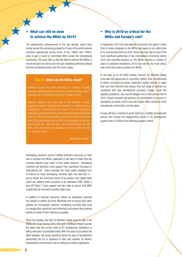# What can still be done to achieve the MDGs by 2015?

入

The development achievements of the last decade, which have turned around the worsening prospects of many of the world poorest countries experienced during much of the 1980's and 1990's, were in part a result of committed effort across the international community. This story tells us that the fight to achieve the MDGs is not yet lost and can still be won through mobilising suficient political will and coordinated action over the next 5 years.

#### Box 4 : Where do the MDGs stand?

Notable progress has been achieved in a number of goals, especially getting children into primary school reducing under-5 mortality from 12.6 million in 2000 to 9 million in 2007.

However, progress has been slow in the majority of areas, especially maternal mortality and sanitation. In addition there is a disparity in performance across regions. The most significant example is sub-Saharan Africa, where at current rates of progress Goal 1A - halving extreme poverty - will not be achieved until well after 2020 and still leave almost 30% of its population in extreme poverty; Goal 1B - halving hunger - will not be achieved until well after 2050; and barely any progress has been made on Goal 5 – maternal health.

MDG Report 2009 <sup>19</sup>

Developing countries cannot mobilise suficient resources on their own to achieve the MDGs, especially in the face of crises that are currently blowing huge holes in their public finances. Developing countries will therefore need support from significant increases in international aid - which provides the most readily available form of inance for many developing countries right now (see Box 1) and to tackle the enormous levels of tax evasion and capital flight which are robbing these countries of an estimated US\$1 trillion a year (€718bn).20 Such support will also help to ensure that MDG investments do not lead to another debt crisis.

In addition to financial resources, efforts by developed countries are needed to deliver aid more effectively and to ensure their other policies are increasingly coherent. Developing countries also need to manage their resources more effectively and ensure their policies benefit as many of their citizens as possible.

Given the leading role that EU Member States need to play if the MDGs are to be met by 2015, this year's AidWatch Report sounds the alarm that the current level of EU development assistance is falling well short of promised levels. With five years to go before the MDG deadline, this raises questions about the type of development partnership the EU is prepared to offer and whether its historic development commitments will be nothing but hollow aspirations.

# • Why is 2010 so critical for the MDGs and Europe's role?

In September 2010 the international community will gather in New York to review progress on the MDGs and agree on an action plan to try and achieve them by 2015. Given that this may be one of the most significant gatherings of the international community before 2015 and concrete progress on the MDGs requires a number of years of sustained investment, 2010 may well be the most critical year in the final push to achieve the MDGs.

In the lead up to the MDG Review Summit, EU Member States must take the opportunity to concretely reaffirm their commitments to deliver promised aid levels, implement radical reforms to make their aid more effective and ensure their full range of policies are consistent with their development promises. Europe, under the Spanish presidency now and the Belgian one in the second half of 2010, should translate into practice its commitment to the poor in developing countries, which may also inspire other members of the international community to do the same.

Europe still has a chance to prove itself as a credible development partner and reverse the disappointing trends in its development support seen in 2009 as the following sections outline.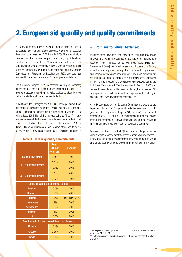# 2. European aid quantity and quality commitments

In 2005, encouraged by a wave of support from millions of Europeans, EU member states collectively agreed to establish timetables to increase their ODA towards 0.7%. This was a historic step, as it was the first concrete plan made by a group of developed countries to deliver on the 0.7% commitment, irst made in the United Nations General Assembly in 1970. Coming hot on the heels of the Millennium Review Summit and agreement of the Monterrey Consensus on Financing for Development (FfD), this step also promised to usher in a new era for EU development assistance.

The timetables adopted in 2005 establish aid targets separately for the group of the old 15 EU member states and the new 12 EU member states, some of whom have also decided to adopt their own stricter timetable of aid increases (see table 1).

In addition to the EU targets, the 2005 G8 Gleneagles Summit saw this group of developed countries - which includes 4 EU member states - commit to increase aid by \$50 billion a year by 2010, with at least \$25 billion of this increase going to Africa. This latter promise reinforced the European commitments made in the Council Conclusions of May 2005 and the Brussels Declaration of 2001 to direct 50% of aid increases to sub-Saharan Africa and to deliver 0.15% or 0.20% of GNI as aid to the Least Developed Countries.<sup>21,i</sup>

|                                                       | <b>Target</b><br>(ODA in<br>% of GNI) | <b>Deadline</b>   |  |  |  |  |
|-------------------------------------------------------|---------------------------------------|-------------------|--|--|--|--|
| <b>EU collective target</b>                           | 0.56%                                 | 2010              |  |  |  |  |
| EU-15 individual targets                              | 0.51%                                 | 2010              |  |  |  |  |
|                                                       | 0.7%                                  | 2015              |  |  |  |  |
| EU-12 individual targets                              | 0.17%                                 | 2010              |  |  |  |  |
|                                                       | 0.33%                                 | 2015              |  |  |  |  |
| Countries with more ambitious targets                 |                                       |                   |  |  |  |  |
| <b>Belgium</b>                                        | 0.7%                                  | 2010              |  |  |  |  |
| <b>Denmark</b>                                        | 0.8%                                  | 2010              |  |  |  |  |
| <b>Ireland</b>                                        | 0.7%                                  | 2012 (now 2015)ii |  |  |  |  |
| Luxembourg                                            | 1%                                    | 2010              |  |  |  |  |
| <b>Netherlands</b>                                    | 0.8%                                  | 2010              |  |  |  |  |
| <b>Sweden</b>                                         | 1%                                    | 2006              |  |  |  |  |
| <b>UK</b>                                             | 0.7%                                  | 2013              |  |  |  |  |
| <b>Countries which have lowered their commitments</b> |                                       |                   |  |  |  |  |
| <b>Estonia</b>                                        | 0.1%                                  | 2010              |  |  |  |  |
| Greece                                                | 0.35%                                 | 2010              |  |  |  |  |
| Latvia                                                | 0.1%                                  | 2010              |  |  |  |  |

#### Table 1. EU ODA quantity commitments

### • Promises to deliver better aid

Ministers from developed and developing countries recognised in 2005 that "while the volumes of aid and other development resources must increase to achieve these goals [Millennium Development Goals], aid effectiveness must increase significantly as well to support partner country efforts to strengthen governance and improve development performance".22 The need for better aid resulted in the Paris Declaration on Aid Effectiveness. Somewhat limited from its inception, the Declaration was reviewed during the High Level Forum on aid Effectiveness held in Accra in 2008 and ownership was placed at the heart of the original agreement "to develop a genuine partnership, with developing countries clearly in charge of their own development processes".<sup>23</sup>

A study conducted by the European Commission shows that the implementation of the European aid effectiveness agenda could generate eficiency gains of up to €6bn a year.24 This amount represents over 10% of the EU's development budget and means that full implementation of the Aid Effectiveness commitments would immediately have a positive impact on developing countries.

European countries claim that "[they] have an obligation to the world's poor to make the most of every cent spent on development".<sup>25</sup> If they are serious about this statement, they need to start delivering on their aid quantity and quality commitments without further delay.

i The original wording says GNP, but in 2001 the WB made the decision of substituting GNP with GNI.

<sup>&</sup>lt;sup>ii</sup> An official document released in December 2009 now postpones the 0.7% target until 2015.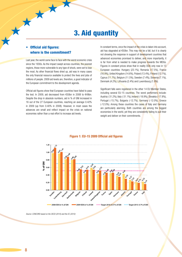# 3. Aid quantity

# **Official aid figures:** where is the commitment?

X

Last year, the world came face to face with the worst economic crisis since the 1930s. As the impact swept across countries, the poorest regions, those more vulnerable to any type of shock, were set to lose the most. As other financial flows dried up, aid was in many cases the only financial resource available to protect the lives and jobs of millions of people. 2009 aid levels are, therefore, a good indicator of the European commitment to the development agenda.

Oficial aid igures show that European countries have failed to pass the test. In 2009, aid decreased from €50bn in 2008 to €49bn. Despite the drop in absolute numbers, aid in % of GNI increased in 16 out of the 27 European countries, reaching an average 0.42% in 2009 (up from 0.40% in 2008). However, in most cases the advances are small and reflect impact on the crisis on national economies rather than a real effort to increase aid levels.

In constant terms, once the impact of the crisis is taken into account, aid has stagnated at  $\epsilon$ 50bn. This may not be a fall, but it is clearly not showing the response in support of development countries that advanced economies promised to deliver, and more importantly, it is far from what is needed to make progress towards the MDGs. Figures in constant prices show that in reality ODA only rose in 13 European countries: Hungary (23.1%), Romania (17.5%), France (16.9%), United Kingdom (14.6%), Poland (13.4%), Finland (13.1%), Cyprus (11.7%), Belgium (11.5%), Sweden (7.4%), Slovenia (7.1%), Denmark (4.2%), Lithuania (2.4%) and Luxembourg (1.9%).

Significant falls were registered in the other 14 EU Member States, including several EU-15 countries. The worst performers include: Austria (-31.2%), Italy (-31.1%), Ireland (-18.9%), Slovakia (-17.8%), Portugal (-15.7%), Bulgaria (-12.7%), Germany (-12.0%), Greece (-12.0%). Among these countries the cases of Italy and Germany are particularly alarming. Both countries are among the biggest economies in the world, yet they are consistently failing to pull their weight and deliver on their commitments.



### Figure 1: EU-15 2009 Official aid figures

Source: CONCORD based on the OECD (2010) and the EC (2010)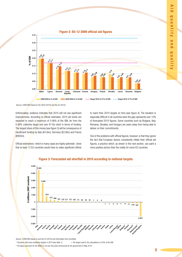

Source: CONCORD based on the OECD (2010) and the EC (2010)

Unfortunately, evidence indicates that 2010 will not see significant improvements. According to official estimates, 2010 aid levels are expected to reach a maximum of 0.46% of the GNI, far from the 0.56% collective target and over €11bn short in terms of funding. The largest share of this money (see figure 3) will be consequence of insuficient funding by Italy (€4.5bn), Germany (€2.6bn) and France (€800m).

especially dificult in all countries were the gap represents over 15% of forecasted 2010 igures. Some countries such as Bulgaria, Italy, Romania, Slovakia, and Hungary are years away from being able to deliver on their commitments.

to reach their 2010 targets on time (see figure 4). The situation is

Official estimations -which in many cases are highly optimistic- show that at least 13 EU countries would have to make significant efforts

One of the problems with oficial igures, however, is that they ignore the fact that European donors consistently inflate their official aid igures, a practice which, as shown in the next section, can paint a more positive picture than the reality for some EU countries.



### Figure 3: Forecasted aid shortfall in 2010 according to national targets

Source: CONCORD based on and the EC (2010) and information from EuroStats

\* Countries with more ambitious targets in 2010 (see table 1) + The target used in the calculations is 0.6% of the GNI

§ The figure accounts for the €600 m cut over two years announced by the government in May 2010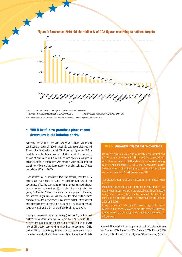

Figure 4: Forecasted 2010 aid shortfall in % of ODA igures according to national targets

Source: CONCORD based on the OECD (2010) and information from EuroStats

\* Countries with more ambitious targets in 2010 (see table 1)  $+$  The target used in the calculations is 0.6% of the GN § The igure accounts for the €600 m cut over two years announced by the government in May 2010

# • Will it last? New practices place recent decreases in aid inflation at risk

Following the trend of the past two years, inflated aid figures continued their decline in 2009. In total, European countries reported €3.8bn of inflated aid or almost 8% of the total figure as ODA. A breakdown of the data shows that €1.4bn was debt cancellation, €1.5bn student costs and almost €1bn was spent on refugees in donor countries. A comparison with previous years shows that the overall lower igure is the consequence of smaller volumes of debt cancellation (€5bn in 2008).

Once inflated aid is discounted from the officially reported ODA igures, aid levels drop to 0.38% of European GNI. One of the advantages of looking at genuine aid is that it shows a much clearer trend in aid figures (see figure 5). It is clear that over the last five years, EU Member States have made constant progress. However, the increase in genuine aid has been far too slow. If EU member states continue the current trend, EU countries will fall €19bn short of their promises once inflated aid is discounted. This is a significantly larger amount than the  $€11$ bn shortfall official figures predict.

Looking at genuine aid levels by country (see table 2), the four best performing countries remained well over the 0.7% level in 2009. Nonetheless, both Sweden and the Netherlands see their aid levels in % of GNI greatly reduced when inflated aid is discounted (1.04%) and 0.77% correspondingly). Further down the table, several other countries show significantly lower levels of genuine aid than officially

### Box 5 : AidWatch inflated aid methodology

Oficial aid igures include debt cancellation and student and refugee costs in donor countries. These are ODA reportable items which do not amount to a real transfer of resources to developing countries and are dificult to link to clear development results. Some countries, such as Luxembourg, the UK and Denmark do not report student and/or refugee costs as ODA.

The problems related to debt cancellation and refugee costs include:

Debt cancellation: donors can report not only the amount, but also the interest due now and in the future. In addition, effortlessly noting down some very large numbers can hide the underlying trend and mislead the public (this happened, for instance, in 2005 and 2006).

Refugee costs: not only does the money stay in the donor country, but some donor countries are also reporting migration related expenses such as repatriation and detention centres as refugee costs.

reported. The worst inlators in percentage of total disbursements are: Cyprus (43%), Romania (23%), Greece (18%), France (18%), Austria (16%), Slovenia (11%), Belgium (9%) and Germany (9%).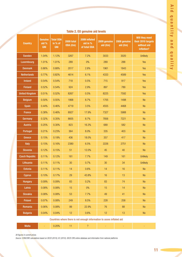| <b>Country</b>                                                        | <b>Genuine</b><br>aid %<br><b>GNI</b> | <b>Total ODA</b><br>in % of<br><b>GNI</b> | 2009 total<br>ODA $(\epsilon m)$ | 2009 inflated<br>aid in %<br>of total ODA | 2009 genuine<br>aid $(\epsilon m)$ | 2008 genuine<br>aid $(\epsilon m)$ | Will they meet<br>their 2010 targets<br>without aid<br>inflation? |
|-----------------------------------------------------------------------|---------------------------------------|-------------------------------------------|----------------------------------|-------------------------------------------|------------------------------------|------------------------------------|-------------------------------------------------------------------|
| <b>Sweden</b>                                                         | 1.04%                                 | 1.12%                                     | 3267                             | 7.2%                                      | 3033                               | 3020                               | <b>Unlikely</b>                                                   |
| Luxembourg                                                            | 1.01%                                 | 1.01%                                     | 289                              | 0%                                        | 289                                | 288                                | Yes                                                               |
| <b>Denmark</b>                                                        | 0.86%                                 | 0.88%                                     | 2017                             | 2.8%                                      | 1961                               | 1843                               | Yes                                                               |
| <b>Netherlands</b>                                                    | 0.77%                                 | 0.82%                                     | 4614                             | 6.1%                                      | 4333                               | 4589                               | Yes                                                               |
| <b>Ireland</b>                                                        | 0.54%                                 | 0.54%                                     | 718                              | 0.5%                                      | 715                                | 917                                | Yes                                                               |
| <b>Finland</b>                                                        | 0.52%                                 | 0.54%                                     | 924                              | 2.9%                                      | 897                                | 789                                | Yes                                                               |
| <b>United Kingdom</b>                                                 | 0.51%                                 | 0.52%                                     | 8267                             | 0.5%                                      | 8225                               | 7592                               | Yes                                                               |
| <b>Belgium</b>                                                        | 0.50%                                 | 0.55%                                     | 1868                             | 8.7%                                      | 1705                               | 1498                               | No                                                                |
| <b>Spain</b>                                                          | 0.44%                                 | 0.46%                                     | 4719                             | 3.5%                                      | 4555                               | 4468                               | No                                                                |
| France                                                                | 0.38%                                 | 0.46%                                     | 8927                             | 17.9%                                     | 7327                               | 5988                               | N <sub>o</sub>                                                    |
| Germany                                                               | 0.32%                                 | 0.35%                                     | 8605                             | 8.7%                                      | 7856                               | 7221                               | N <sub>o</sub>                                                    |
| <b>Austria</b>                                                        | 0.25%                                 | 0.30%                                     | 823                              | 16.3%                                     | 689                                | 582                                | N <sub>o</sub>                                                    |
| <b>Portugal</b>                                                       | 0.21%                                 | 0.23%                                     | 364                              | 8.0%                                      | 335                                | 403                                | No                                                                |
| Greece                                                                | 0.15%                                 | 0.19%                                     | 436                              | 18.0%                                     | 357                                | 417                                | <b>No</b>                                                         |
| <b>Italy</b>                                                          | 0.15%                                 | 0.16%                                     | 2380                             | 6.5%                                      | 2226                               | 2751                               | No                                                                |
| <b>Slovenia</b>                                                       | 0.12%                                 | 0.15%                                     | 51                               | 12.0%                                     | 45                                 | 40                                 | No                                                                |
| <b>Czech Republic</b>                                                 | 0.11%                                 | 0.12%                                     | 161                              | 7.7%                                      | 149                                | 161                                | <b>Unlikely</b>                                                   |
| Lithuania                                                             | 0.11%                                 | 0.11%                                     | 30                               | 0.7%                                      | 30                                 | 34                                 | <b>Unlikely</b>                                                   |
| <b>Estonia</b>                                                        | 0.11%                                 | 0.11%                                     | 14                               | 0.6%                                      | 14                                 | 16                                 | N <sub>o</sub>                                                    |
| <b>Cyprus</b>                                                         | 0.10%                                 | 0.17%                                     | 29                               | 43.8%                                     | 16                                 | 13                                 | No                                                                |
| <b>Hungary</b>                                                        | 0.09%                                 | 0.09%                                     | 83                               | 0.2%                                      | 83                                 | 74                                 | No                                                                |
| Latvia                                                                | 0.08%                                 | 0.08%                                     | 15                               | $0\%$                                     | 15                                 | 14                                 | No                                                                |
| <b>Slovakia</b>                                                       | 0.08%                                 | 0.08%                                     | 53                               | 7.7%                                      | 49                                 | 41                                 | No                                                                |
| Poland                                                                | 0.07%                                 | 0.08%                                     | 249                              | 8.5%                                      | 228                                | 258                                | No                                                                |
| Romania                                                               | 0.06%                                 | 0.08%                                     | 99                               | 22.9%                                     | 76                                 | 88                                 | No                                                                |
| <b>Bulgaria</b>                                                       | 0.04%                                 | 0.04%                                     | 12                               | 0.6%                                      | 12                                 | 13                                 | No                                                                |
| Countries where there is not enough information to asses inflated aid |                                       |                                           |                                  |                                           |                                    |                                    |                                                                   |

# Table 2. EU genuine aid levels

All figures in current prices.

Source: CONCORD calculations based on OECD (2010), EC (2010), OECD CRS online database and information from national platforms.

Malta | - 0.20% | 11 | ? | - | - | - | - |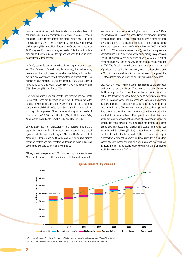Despite the significant reduction in debt cancellation levels, it still represents a large proportion of aid flows in some European countries. France is first among this group with a share of debt cancellation of 8.7% in 2009, followed by Italy (6%), Austria (5%) and Belgium (4%). In addition, European NGOs are concerned that 2010 may see EU donors use higher levels of debt relief to inflate their aid as they try to use all the options left open to them in order to get closer to their targets.

大

In 2009, seven European countries did not report student costs as ODA: Denmark, Finland, Italy, Luxembourg, the Netherlands, Sweden and the UK. However many others are failing to follow their example and continue to report vast swathes of student costs. The highest relative amounts of student costs in 2009 were reported in Romania (21% of all ODA), Greece (16%), Portugal (8%), Austria (7%), Germany (7%) and France (7%).

Only two countries have consistently not reported refugee costs in the past. These are Luxembourg and the UK, though the latter reported a very small amount in 2009 for the irst time. Refugee costs are especially high in Cyprus (41%), suggesting a potential link with migration expenses. Other countries with significant levels of refugee costs in 2009 include: Sweden (7%), the Netherlands (5%), Austria (4%), Poland (4%), Slovakia (4%) and Belgium (4%).

Unfortunately, lack of transparency and reliable information, especially among the EU-12 member states, mean that the actual figures could be significantly higher. National NGOs believe that Malta and Bulgaria report as ODA the cost of running immigrants' reception centres and their repatriation, though no reliable data has been made available by the their governments.

Military spending reported as ODA is another major problem in New Member States, where public scrutiny and OECD monitoring are far

less common. For instance, aid to Afghanistan accounts for 30% of Poland's bilateral ODA and is managed mostly by the Army Provincial Reconstruction Team. A similar share of Hungary's bilateral aid goes to Afghanistan. Also significant is the case of the Czech Republic, where the substantial increase ODA figures between 2007 and 2008 (€42m or 25% increase in current terms), was the consequence of a threefold rise in ODA delivered by the army, mainly in Afghanistan. The OECD guidelines are quite strict when it comes to "Conflict, Peace and Security" and only a very limited of items can be reported as ODA. The fact that countries with significant larger missions to Afghanistan such as the UK or Germany report much smaller shares of "Conflict, Peace and Security" aid in this country, suggest that EU-12 countries may be reporting as ODA non-eligible expenses.

Last year this report warned about discussions at the European level to implement a widened ODA agenda, called the "Whole of the Union approach" or  $ODA+$ . The idea behind this initiative is to look at the totality of financial flows going to developing countries from EU member states. The proposal has lost some momentum, but several countries such as France, Italy and the EC continue to support the initiative. The problem is not only that such an approach risks becoming a smoke screen to hide poor aid performance, but also that it is inherently flawed. Many private and official flows are not linked to any development outcomes whatsoever and cannot be attributed to donor governments. In addition, the approach proposed fails to take into account tax evasion and capital flight, which see an estimated \$1 trillion ( $\epsilon$ 718bn) a year heading to developed countries from the developing world.<sup>26</sup> The European Union says it is committed to eradicating poverty and inequality. If this is true they cannot afford to waste one minute playing hide-and-seek with aid numbers. Bigger figures but no changes will not make a difference, but higher levels of real ODA will.



\*The target is based on the oficially forecasted EU GNI levels and the 0.56% collective target set by the EU for 2010. Source: CONCORD calculations based on OECD (2010), EC (2010), the OECD CRS database and Eurostats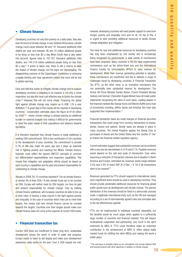# • Climate finance

Developing countries not only face poverty on a daily basis, they also bear the brunt of climate change. In sub-Saharan Africa alone, climate change could cause between 86 and 131 thousand additional child deaths per year, and between 46 and 70 million additional people to be living on less than \$2 a day.When South Asia is also taken into account, igures raise to 167-251 thousand additional child deaths, and 144-219 million additional people living on less than \$2 a day.<sup>27</sup> If action is taken now, there is still a chance to ease the impact of climate change, but the signs are discouraging. The disappointing outcome of the Copenhagen Conference in achieving a legally binding and clear agreement means that more will be lost to global warming.

Early and effective action to mitigate climate change and to support developing countries in adapting to its impacts is not only a moral imperative, but also the most cost effective way to tackle the climate crisis.28 However, this will not come cheap. Financing the global fight against climate change may require up to US\$ 1.2tr a year (€860bn).29 A great deal of this money will be required in developing countries - conservative estimates place the igure at €135 billion by 2020  $30$  - where climate change is already placing an additional burden on national budgets and making it dificult for governments to meet the basic needs of their populations and advance towards the MDGs.

It is therefore important that climate finance is made additional to existing ODA commitments. ODA is the contribution of rich countries to the development of poor countries; the commitment to provide 0.7% of GNI was made 40 years ago and it plays an essential role in fighting poverty and reaching the MDGs. Climate finance, however, must reflect the agreed UNFCCC principle of common but differentiated responsibilities and respective capabilities. This means that mitigation and adaptation efforts should be based on each country's capabilities and its past and present responsibility for contributing to climate change.

Already in 2008, EU-15 countries reported € 1bn as climate finance, or almost 4% of their ODA.<sup>iii</sup> If new climate funds are to be counted as ODA, Europe will neither meet its ODA targets, nor face its past and present responsibility for climate change. Only by making climate finance additional, will European countries be able to live up to their claim of leaving a deep imprint in the fight against poverty and inequality. In the case of countries which have yet to meet their targets, this means that new climate finance cannot be counted towards the targets. Countries over their targets should make sure climate finance does not come at the expense of current ODA levels.

# • Financial transaction tax

Current ODA flows are insufficient to foster long term, sustainable development across the world. In order to make real progress, Europe needs to meet its aid targets and make sure development assistance really works for the poor. Even if ODA targets are met, however, developing countries will need greater support to overcome hunger, poverty and inequality once and for all. On top of this, it is urgent to start providing additional resources to tackle climate change adaptation and mitigation.

The need for new and additional resources for developing countries has long been emphasised by civil society and is increasingly being recognised by governments. A wide variety of mechanisms have been proposed. Many countries in the EU have implemented mechanisms such as the airline-ticket levy and the International Finance Facility for Immunisation (IFFIm) to raise revenue for development. While their revenue generating potential is valuable, these mechanisms are insuficient and fail to address a range of challenges faced by developing countries. A Financial Transaction Tax (FTT), on the other hand, is an innovative mechanism that can potentially raise substantial revenue for development. The former UK Prime Minister Gordon Brown, French President Nicolas Sarkozy and German Chancellor Angela Merkel have all made public statements recognising the value of such taxes. Leading players in the inancial markets like George Soros and Warren Buffet and a host of economists including Jeffrey Sachs and Amartya Sen have also supported their implementation.<sup>31</sup>

Financial transaction taxes are small charges on financial securities transactions that could range from currency transactions to shares, bonds, futures and options. Similar taxes are already in place in many countries. The United Kingdom applies the Stamp Duty to purchases of shares and the United States levy the 'section 21 fee' to finance the financial market regulatory agency.

Current estimates suggest that substantial revenues can be achieved with a very low tax rate between 0.01% and 0.1%. Possible revenues would depend on the rate and scale of introduction. Even when assuming a reduction of transaction volumes due to taxation in North America and Europe, estimated tax revenues would range between 0.5% and 2.4% of world GDP ( $\epsilon$  215bn –  $\epsilon$  1tr) if all transactions were to be covered.<sup>32</sup>

Revenues generated by FTTs should respond to international needs and a significant share should be used in developing countries. They should provide predictable additional resources for financing global public goods such as development and climate change. The precise distribution of the revenues should be ixed in a democratic process under a legitimate international body such as the UN and managed according to a set of internationally agreed rules and principles akin to the aid effectiveness agenda.

FTTs can be implemented in individual countries separately, but the benefits would be much larger when applied to a sufficiently large number of countries and financial markets. This will require multinational cooperation and partnership, very much in the spirit enshrined by MDG 8. FTTs could therefore make an important contribution to the achievement of MDG 8, while raising badly needed funds for fulilling the other MDGs and making the world a better place.

iii The real igure is probably higher as our calculations only include bilateral ODA and exclude projects with other objectives in addition to climate change.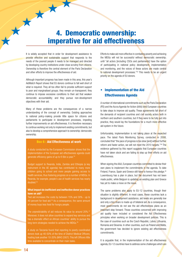# 4. Democratic ownership: imperative for aid effectiveness

It is widely accepted that in order for development assistance to provide effective and sustainable support that responds to the needs of the poorest people it needs to be managed and directed by developing country institutions under close scrutiny from citizens. Ownership is therefore the central element of the Paris Declaration and other efforts to improve the effectiveness of aid.

Although important progress has been made in this area, this year's AidWatch Report shows that EU donors continue to fall well short of what is required. They all too often fail to provide suficient support to poor and marginalised groups; they remain un-transparent; they continue to impose excessive conditions to their aid that weaken democratic accountability; and they pursue non-development objectives with their aid.

Many of these problems are the consequences of a narrow understanding of the concept of ownership. Existing approaches to national policy-making provide little space for citizens and parliaments to participate in development processes, impeding further improvements on aid effectiveness. It is therefore necessary to continue working not only to implement existing commitments, but also to develop a comprehensive approach to ownership: democratic ownership.

### Box 6 : Aid Effectiveness at work

A study conducted by the European Commission shows that the implementation of the European aid effectiveness agenda could generate efficiency gains of up to  $\epsilon$  6bn a year.<sup>34</sup>

Budget support to Rwanda, India, Zambia and Ethiopia (a key instrument in the AE agenda) has contributed to many more children going to school and more people gaining access to health services, thus fostering progress on a number of MDGs. In Rwanda, for example, people's use of health services has nearly doubled.<sup>35</sup>

#### What impact do ineficient and ineffective donor practices have on aid?

Tied aid increases the costs by between 15% and 30% - up to 40 percent for food aid.36 As a consequence, the same amount of money buys less food for hungry people.

The unpredictability of aid reduces its value by around 20%.<sup>37</sup> Moreover, it does not allow countries to expand key services and has a dramatic effect on African countries' ability to pursue the long-term strategies needed to achieve the MDGs.<sup>3</sup>

A study on Tanzania found that reporting to poorly coordinated donors took up 40-50% of the time of District Medical Oficers; hosting took another 10-20% (WHO 2007). This left Oficers little

Efforts to make aid more effective in combating poverty and achieving the MDGs will not be successful without democratic ownership; until "all actors [including CSOs and parliaments] have the option of participating in national policy development, implementation and monitoring, and the voices of these actors are made central to national development processes."<sup>33</sup> This needs to be an urgent priority on the agenda of EU donors.

# • Implementation of the Aid Effectiveness Agenda

A number of international commitments such as the Paris Declaration (PD) and the Accra Agenda for Action (AAA) bind European countries to take steps to improve aid quality. These agreements fall short of the demands of recipient countries and civil society actors both in northern and southern countries, but if they were to be fully put into practice, they would lay the foundations for a much more effective aid system in the future.

Unfortunately, implementation is not taking place at the expected pace. The latest Paris Monitoring Survey, conducted in 2008, concluded that "the pace of progress is too slow [and] without further reform and faster action, we will not meet the 2010 targets."39 The evidence gathered by this report suggests that European countries have not taken stock and are failing to step up their efforts on aid effectiveness.

When signing the AAA, European countries committed to devise their own plans to implement the commitments in the agenda. To date Finland, France, Spain and Greece still have to honour this pledge.<sup>40</sup> Luxembourg has a plan in place, but the document has not been made public, while Belgium is updating an existing plan and Greece has yet to make a move on the issue.

The same problems also apply to EU-12 countries, though their situation is slightly different. In most cases, these countries lack a background in development assistance, aid levels are generally low and only a tiny share is made up of bilateral aid. As a consequence, most governments do not see the aid effectiveness plans as an important step forward. Those countries concerned with improving aid quality have included or considered the Aid Effectiveness principles when working on broader development policies. This is the case of countries such as the Czech Republic, Latvia, Lithuania, Romania and Slovenia. In other countries, such as Poland and Malta, the government has decided to ignore existing aid effectiveness commitments.

It is arguable that, in the implementation of the aid effectiveness agenda, EU-12 countries have to address some challenges which are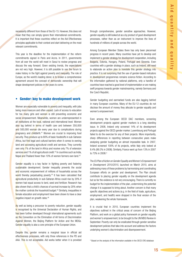necessarily different from those of the EU-15. However, this does not mean that they can simply ignore their international commitments. It is important that these countries reflect on the Aid Effectiveness principles applicable to their context and start delivering on the most relevant commitments.

This year is the deadline for the implementation of the reform commitments signed in Paris and Accra. In 2011, governments from all over the world will meet in Seoul to review progress and discuss the way forward. Given existing trends, the expectations are not very high. However, it is still possible to use the forum to make history in the fight against poverty and inequality. The role of Europe, as the world's leading donor, is to broker a comprehensive agreement around the concept of democratic ownership that will shape development policies in the years to come.

### • Gender: key to make development work

Women are especially vulnerable to poverty and inequality, with jobs being more insecure and often unpaid. Lack of access to education for too many girls and women is still preventing economic and social empowerment. Meanwhile, women are underrepresented in all institutions at the local, national and international level. Women also lag behind in terms of health care and between 350,000 and 500,000 woman die every year due to complications during pregnancy and childbirth.<sup>41</sup> Women are crucial to improving food security. They produce up to 80% of basic foodstuffs in sub-Saharan Africa, but find legal and cultural barriers when it comes to owning land and accessing agricultural credit and services. They currently own only 1% of the land in Africa and receive only 7% of extension services and 1% of all agricultural credit.<sup>42</sup> In countries such as India, Nepal and Thailand fewer than 10% of women farmers own land.<sup>43</sup>

Gender equality is a key factor in fighting poverty and fostering sustainable development. Gender inequality prevents the social and economic empowerment of millions of households across the world thereby perpetuating poverty.<sup>44</sup> It has been calculated that agricultural productivity in sub-Saharan Africa could rise by 20% if women had equal access to land, seed and fertilizer. Research has also shown that a child's chances of survival increase by 20% when the mother controls the household budget.<sup>45</sup> Similarly, inequalities in female education and employment have been shown to have a clear negative impact on growth rates.<sup>46</sup>

As well as being a precursor to poverty reduction, gender equality is recognised by the Universal Declaration of Human Rights, and has been further developed through international agreements such as the Convention on the Elimination of All forms of Discrimination Against Women, the Beijing Platform for Action and the MDGs. Gender equality is also a core principle of the European Union.

Despite this, gender remains a marginal issue in official aid effectiveness processes, with only three references in the PD and AAA. This is not acceptable. Aid works better when it is provided through comprehensive, gender sensitive approaches. However, gender equality is still looked at as a by product of good development processes, rather than as an instrument to improve the lives of hundreds of millions of people across the world.

Among European Member States there has only been piecemeal progress in recent years. Many countries have yet to develop and implement a gender strategy for development cooperation, including Bulgaria, Estonia, Hungary, Poland, Portugal and Slovenia. Even countries with a gender strategy in place, such as Ireland, still need to elaborate an action plan to translate this gender strategy into practice. It is not surprising that the use of gender-based indicators in development programmes remains science-fiction. According to the information gathered by national platforms, only a handful of countries have reached a good level of implementation or are making swift progress towards gender mainstreaming, namely Germany and the Czech Republic.

Gender budgeting and earmarked funds are also lagging behind in many European countries. Many of the EU-12 countries do not disclose the amount of money they allocate to gender equality and women's empowerment.

Even among the European OECD DAC members, screening development projects against gender markers is a long standing issue. In 2008, Ireland only screened 14% of its development projects against the OECD gender marker. Luxembourg and Portugal failed to do the exercise for any of their projects. More importantly, sharp differences in reporting between consecutive years make analysing gender budgeting an almost impossible task. In 2007, Ireland screened 100% of its projects, while Italy only looked at 8.4% (99.3% in 2008). Similarly, France went up from 13% in 2007 to 73% in 2008.<sup>iv</sup>

The EU Plan of Action on Gender Equality and Women's Empowerment in Development 2010/2015, launched on March 2010, aims at addressing many of these problems by harmonising and coordinating European efforts on gender and development. The Plan should contribute to placing gender equality on the development agenda but so far the evidence is not very encouraging. There is currently no budget for the implementation of the plan, undermining the potential change it is supposed to bring about. Another concern is that many specific objectives and actions (e.g. in the field of trade, agriculture, employment, and health) were dropped in the final version of the plan, weakening the whole framework.

It is crucial that in 2010, European countries implement the objectives outlined in the critical areas of concern of the Beijing Platform, and work on a global policy framework on gender equality and women's empowerment, to be brought to the UN MDG Review in September. Poverty can only be eradicated through gender sensitive development policies that take into account and address the factors underlying women's discrimination and disempowerment.

iv Based on the analysis of the information available in the OECD CRS database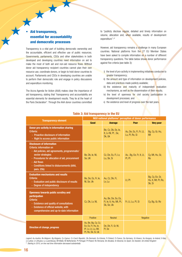# Aid transparency, essential for accountability and democratic processes

大

Transparency is a vital part of building democratic ownership and the accountable, eficient and effective use of public resources. Governments, parliaments, CSOs and other stakeholders in both developed and developing countries need information on aid to make the most of both aid and non-aid resource flows. Without donor aid transparency recipient countries cannot plan their own resource use, coordinate donors, or begin to hold donor countries to account. Parliaments and CSOs in developing countries are unable to perform their democratic role and engage in policy discussions and expenditure monitoring.

The Accra Agenda for Action (AAA) makes clear the importance of aid transparency, stating that "transparency and accountability are essential elements for development results. They lie at the heart of the Paris Declaration". Through the AAA donor countries committed

to "publicly disclose regular, detailed and timely information on volume, allocation and, when available, results of development expenditure".<sup>47</sup>

However, aid transparency remains a challenge in many European countries. National platforms from the 27 EU Member States have been asked to compile information on a number of different transparency questions. The table below shows donor performance against five criteria (see table 3):

- i) the level of pro-activity in implementing initiatives conducive to greater transparency;
- ii) the amount and type of information on development policies. data and practices made publicly available;
- iii) the existence and maturity of independent evaluation mechanisms, as well as the dissemination of their results;
- iv) the level of openness for civil society participation in development processes; and
- v) the existence and level of progress over the last years.

|                                                                                                                                                                                                                                                                  | NGO national platforms' perception of donor performance                                               |                                                              |                                           |                                                  |  |
|------------------------------------------------------------------------------------------------------------------------------------------------------------------------------------------------------------------------------------------------------------------|-------------------------------------------------------------------------------------------------------|--------------------------------------------------------------|-------------------------------------------|--------------------------------------------------|--|
| <b>Transparency element</b>                                                                                                                                                                                                                                      | Good                                                                                                  | Average                                                      | Poor                                      | <b>Very poor</b>                                 |  |
| Donor pro-activity in information sharing<br>Criteria:<br>- Proactive disclosure of information<br>- Right to access public information                                                                                                                          |                                                                                                       | Be, Cz, Dk, Ee, le,<br>It, Lv NI, Pt, Se,<br>Sk, Uk          | Au, De, Es, Fi, Fr, Lt,<br>Lu, PI, Ro, Si | Bg, Cy, Gr, Hu,<br>Mt                            |  |
| <b>Disclosure of information</b><br>Criteria: information on<br>- Aid policies, aid agreements, programmatic/<br>sector strategies<br>- Procedures for allocation of aid, procurement<br>- Aid flows<br>- Conditions linked to disbursements (AAA,<br>para. 25b) | Be, Dk, le, Nl,<br>Se, UK                                                                             | Cz, De, Es, Fi, Lv,<br>Lu, Sk, Si                            | Au, Bg, Ee, Fr, It, Lt,<br>PI, Pt         | Cy, Mt, Hu, Gr,<br>R <sub>0</sub>                |  |
| <b>Evaluation mechanisms and results</b><br>Criteria:<br>- Evaluation and public disclosure of results<br>- Degree of independency                                                                                                                               | Be, De, Es, Fr, le,<br>NI, Se, Uk                                                                     | Au, Cz, Dk, Fi,<br>Lv, Lu                                    | Lt, Pt                                    | Bg, Cy, Ee, Gr,<br>Hu, It, Mt, PI, Ro,<br>Sk, Si |  |
| <b>Openness towards public scrutiny and</b><br>participation<br>Criteria:<br>- Existence and quality of consultations<br>- Existence of official website, with<br>comprehensive and up-to-date information                                                       | Cz, Dk, Lv, Nl,                                                                                       | Au, Be, De, Ee, Es,<br>Fi, le, lt, Hu, Mt, Pt,<br>Sk, Se, Uk | Fr, Lt, Lu, Pl, Si                        | Cy, Bg, Gr, Ro                                   |  |
|                                                                                                                                                                                                                                                                  | Positive                                                                                              | <b>Neutral</b>                                               | <b>Negative</b>                           |                                                  |  |
| <b>Direction of change, progress</b>                                                                                                                                                                                                                             | Au, Be, Bg, Cy, Cz,<br>Ee, Es, Fr, Hu, le,<br>It <sup>§</sup> , Lv, Lt, Lu, Mt,<br>Pt, Ro, Sk, Si, Uk | De, Dk, Fi, Gr, Nl,<br>PI, Se                                |                                           |                                                  |  |

#### Table 3: Aid transparency in the EU

Legend: Au-Austria; Be-Belgium; Bg-Bulgaria; Cy-Cyprus; Cz-Czech Republic; Dk-Denmark; Ee-Estonia; Fi-Finland; Fr-France; De-Germany; Gr-Greece; Hu-Hungary; Ie-Ireland; It-Italy; Lv-Latvia; Lt-Lithuana; Lu-Luxembourg; Mt-Malta; Nl-Netherlands; Pt-Portugal; Pl-Poland; Ro-Romania; Sk-Slovakia; Si-Slovenia; Es-Spain; Se-Sweden; Uk-United Kingdom § Starting in 2010, on-line real time information decreased substantially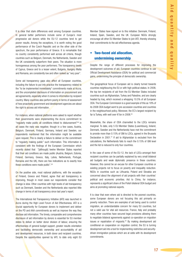It is clear that stark differences exist among European countries. In general better performers include some of Europe's most progressive aid donors while the EU-12 countries tend to get poorer results. Among the exceptions, it is worth noting the good performance of the Czech Republic and on the other side of the spectrum, the poor performance of Greece. It is remarkable that no country consistently performed well across all criteria, though countries such as Belgium, Denmark, the Netherlands, Sweden and the UK consistently outperform their peers. The situation is more homogeneous among the poor performers. The transparency levels of Cyprus, Greece and to a lesser extent, Bulgaria, Hungary Malta and Romania, are consistently low and often ranked as "very poor".

Some aid transparency gaps also affect all European countries, including the failure to put into practice the transparency related to the "to be implemented immediately" commitments made at Accra, and the uncompleted disclosure of information on procurement and aid agreements, especially when it comes to information by recipient country. Many countries also perform poorly in terms of assessment of how proactively government and development agencies are about the right to access aid information.

For instance, when national platforms were asked to report whether their governments were implementing the Accra commitment to "regularly make public all conditions linked to disbursement"48 in all cases the reply was negative; though in a few cases, Austria, Belgium, Denmark, Finland, Germany, Ireland and Sweden, our respondents mentioned that the information might be available upon request. This is clearly a failure to deliver on the commitment to "regularly making public" such information. This information is consistent with the findings of the European Commission which recently stated that "[although] twelve Member States reported that their aid conditions are made public (Austria, Belgium, Estonia, Finland, Germany, Greece, Italy, Latvia, Netherlands, Portugal, Romania and the UK), there are few indications as to exactly how these conditions were made public".<sup>49</sup>

On the positive side, most national platforms, with the exception of Finland, Greece and Poland, agree that aid transparency is improving, though in most cases our respondents consider that change is slow. Other countries with high levels of aid transparency such as Denmark, Sweden and the Netherlands also reported little change in terms of aid transparency since last year's report.

The International Aid Transparency Initiative (IATI) was launched in Accra during the High Level Forum of Aid Effectiveness. IATI is a crucial opportunity for European donors to implement and deliver on the PD and AAA commitments as well as improve the way they disclose aid information. The timely, comparable and comprehensive disclosure of aid information by donors is essential for EU member states to deliver on better donor division of labour, ensuring the effectiveness of general budget support, greater results orientation and facilitating democratic ownership and accountability of aid and development resources, in both donor and recipient countries. Despite the opportunities opened by IATI, to date only eight EU

Member States have signed on to this initiative: Denmark, Finland, Ireland, Spain, Sweden, and the UK. European NGOs strongly encourage all other EU Member States to join IATI, thereby showing their commitments to the aid effectiveness agenda.

# • Two-faced aid allocation, undermining ownership

Despite the range of different processes for improving the development outcomes of aid, European countries continue to use Oficial Development Assistance (ODA) for political and commercial gains, undermining the principle of democratic ownership.

The geographical focus of European aid is clearly turned towards countries neighbouring the EU or with high political stakes. In 2008, the top ten recipients of aid from the EU Member States included countries such as Afghanistan, Turkey and Palestine, and are clearly headed by Iraq, which received a whopping 10.5% of all European ODA. The European Commission is a good example of this as 18% of its 2008 ODA budget went to pre-accession countries and countries in the neighbourhood policy. Moreover, the EC's largest recipient by far is Turkey, with well over €1bn in 2008.<sup>50</sup>

Meanwhile, the share of ODA channelled to the LDCs remains marginal. To date, only 5 EU Member States (Luxembourg, Ireland, Denmark, Sweden and the Netherlands) have met the commitment to provide more than 0.15% of GNI to LDCs, agreed in the Brussels Declaration in 2001.<sup>51</sup> If aid to Afghanistan is excluded from the calculations, the Netherlands fails to reach the 0.15% of GNI level and the list is reduced to only four countries.

In the case of some of the EU-12, the lack of LDCs amongst their recipient countries can be partially explained by very small bilateral aid budgets and weak diplomatic presence in these countries. However, this cannot be an excuse for other European countries or existing projects not to focus on poverty and inequality reduction. NGOs in countries such as Lithuania, Poland and Slovakia are concerned about the alignment of aid projects with their countries' political and economic priorities. Aid to China, for instance, represents a significant share of the Polish bilateral ODA budget and aims at promoting national exports.

It is clear that even where aid is directed to the poorest countries, some European donors are not focusing this aid primarily on poverty reduction. There are examples of aid being used to control migration, an understandable concern for many EU countries, but not a valid use for vital aid resources. France, Italy and probably many other countries have secured legal provisions allowing them to negotiate bilateral agreements against co-operation on migration issues or repatriation of migrants.<sup>52</sup> By making development aid conditional on cooperation on migration control, the EU is turning development aid into a tool for implementing restrictive and securitydriven immigration policies which are at odds with its development commitments.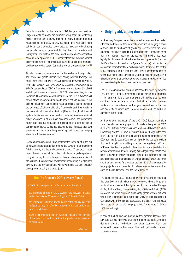Security is another of the priorities ODA budgets are used for. Large amounts of money are currently being spent on reinforcing border controls and security training in many neighbouring and Mediterranean countries. In previous years, this was done more subtly, but some countries have started to make this oficial using the popular support generated by the threat of terrorism and immigration. The draft of the new Danish development cooperation strategy, to be approved in 2010, clearly states that the development policy "goes hand in hand with safeguarding Danish self-interests" and is considered a "part of Denmark's foreign and security policy".<sup>53</sup>

 $\overline{\phantom{a}}$ 

Aid also remains a key instrument in the toolbox of foreign policy. Too often, aid grants donors very strong political leverage, no matter how small aid levels are. As expressed by Christine Andela, from the Collectif des ONG pour la Sécurité Alimentaire et le Développement Rural, "ODA in Cameroon represents only 6% of GNI and still politicians are 'prisoners' of it."54 In other countries, such as Colombia, ODA represents well under 1% of the GDP, but donors still have a strong voice when it comes to certain national policies.<sup>55</sup> The political influence of donors is the result of multiple factors including the existence of joint conditionality frameworks and their weight in the international financial institutions (IFIs) and the global financial system. In this framework aid can become a tool to achieve national policy objectives, such as those described above, and perpetuate rather than iron out inequality. The existence of a common set of conditions monitored by IFIs has allowed donors to impose their own economic policies, undermining ownership and sometimes bringing about harmful consequences.<sup>56</sup>

Development policies should be implemented in the spirit of the aid effectiveness agenda and true democratic ownership, and focus on fighting poverty and inequality across the world. These are, in most cases, the real causes at the root of conflicts and migration patterns. Using aid money to fence Europe off from existing problems is not the solution. The objective of development cooperation is to eliminate poverty and the only sustainable way forward is to use ODA to foster development, equality and better jobs.

#### Box 7 : Greece's ODA, poverty focus?

In 2008, Greece spend a significant amount of funds on:

-the international fund for the creation of the Museum in Nubia and of the National Museum of Egyptian Culture in Cairo

-the upgrade of the know-how and skills of the bank sector staff in Egypt, so they can effectively respond to the demands of the new competitive era

-training for museum staff in Georgia, including the running of the sales shop and support for the production of copies of museum items

Hellenicaid<sup>57</sup>

# • Untying aid, a long due commitment

Another way European countries use aid to promote their vested interests, and those of their national companies, is by tying a share of their ODA to purchases of goods and services from their own countries, effectively excluding foreign suppliers – including those from the recipient countries themselves. Aid untying has been highlighted in international aid effectiveness agreements (such as the Paris Declaration and Accra Agenda for Action) but this is one area where commitments are particularly weak. Moreover, the central OECD agreement in this ield, the 2001 DAC Recommendations on Untying Aid to the Least Developed Countries, does not cover ODA to all recipient countries and excludes two important categories of tied aid: free-standing technical assistance and food aid.

The OECD estimates that tying aid increases the costs by between 15% and 30%–up to 40 percent for food aid.58 Even more important in the long-term is the fact that tying aid implies that recipient countries capacities are not used. Tied aid essentially channels funds from northern development budgets into northern businesses, and does little to create jobs, increase income, and use and build capacities in the South.

An independent evaluation of the 2001 DAC Recommendations found that donors made progress in formally untying aid. In 2007, 66% of all ODA was reported as untied, and some EU donors, such as Luxemburg and the UK, have fully untied their aid, though in the case of the UK, 88% of large contracts went to national companies.<sup>59</sup> All ODA from the European Commission is partly tied due to provisions that restrict eligibility for bidding to businesses registered in EU and ACP countries. Most importantly, the evaluation made the distinction between formal and de facto untying. While legal impediments have been removed in many countries, donors' procurement policies and practices still intentionally or unintentionally favour their own countries businesses. As a result, more than 80% of all contracts for large projects are still awarded to national companies in countries such as the UK, Denmark and the Netherlands.<sup>60</sup>

The latest official OECD figures show that three EU-15 countries tied over 30% of their bilateral ODA. However, when only genuine aid is taken into account the figure rises to five countries: Portugal (71%), Austria (50%), Greece (46%), Italy (38%) and Spain (35%). Moreover, the latest picture is significantly gloomier than last year, when only 3 countries tied more than 30% of their bilateral aid. Compared with previous data, both Austria and Spain have increased their share of tied aid alarmingly (previous figures were 21% and 12% respectively).

In spite of the high levels of the tied aid they reported. last year both Italy and Greece improved their performance. Belgium, Denmark, Germany and the Netherlands are other countries that have managed to decrease their share of tied aid significantly compared to previous years.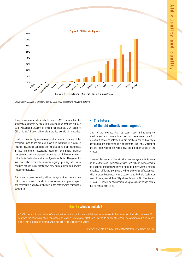Figure 6: EU tied aid figures

Source: CONCORD based on information from the OECD online database and the national platforms.

**Sweden** 

**Germany** 

**Denmark** 

**Netherlands** 

**Finland** 

■ Tied aid in % of commitments ■ Genuine tied aid in % of commitments

**Belgium** 

**France** 

**Spain** 

**Italy**  Greece **Austria**

Portuga

There is not much data available from EU-12 countries, but the information gathered by  $NGS$  in the region show that tied aid may be a widespread practice. In Poland, for instance, ODA loans to China, Poland's biggest aid recipient, are tied to national companies.

**0%** 

**Ireland** 

Luxembourg

**United Kingdom** 

**10% 20%** 

**30% 40%** 

**50% 60%** 

**70% 80%** 

Local procurement by developing countries can solve many of the problems linked to tied aid, and make sure that more ODA actually reaches developing countries and contributes to their economies. In fact, the use of developing countries' own public financial management and procurement systems is one of the commitments of the Paris Declaration and Accra Agenda for Action. Using country systems is also a central element in aligning spending patterns to priorities defined in recipient's own development plans and poverty reduction strategies.

The lack of progress in untying aid and using country systems is one of the reasons why aid often lacks a sustainable development impact and represents a significant obstacle in the path towards democratic ownership.

# • The future of the aid effectiveness agenda

Much of the progress that has been made in improving the effectiveness and ownership of aid has been down to efforts to commit donors to reform their aid practices and to hold them accountable for implementing such reforms. The Paris Declaration and the Accra Agenda for Action have been most influential in this respect.

However, the future of the aid effectiveness agenda is in some doubt, as the Paris Declaration expires in 2010 and there seems to be resistance from many donors to agree to a framework of reforms to replace it. If further progress is to be made on aid effectiveness which is urgently required - then a successor to the Paris Declaration needs to be agreed at the 4<sup>th</sup> High Level Forum on Aid Effectiveness in Seoul. EU donors must support such a process and help to ensure that all donors sign up it.

### Box 8 : What is tied aid?

In 2008, close to €1m of Italian ODA went to inance the purchase of 48 Fiat tractors for Kenya. In the same year, the Italian carmaker "Fiat Avio" was the beneficiary of a €8m contract to repair a Syrian power plant. In 2006, the Italian society Miscuni was awarded a €25m loan to build a dam in Bolivia to improve water access in the Cochabamba Valley.

Examples from the bulletin of Italian Development Cooperation (DIPCO)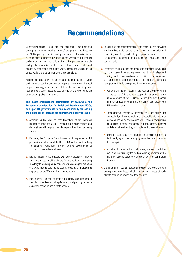# Recommendations

Consecutive crises - food, fuel and economic - have aflicted developing countries, eroding some of the progress achieved on the MDGs, poverty reduction and gender equality. The crisis in the North is being addressed by greasing the wheels of the financial and economic system with billions of euro. Progress on aid quantity and quality, meanwhile, has been much slower than expected and needed by poor people around the world, despite the warning of the United Nations and other international organisations.

7

Europe has repeatedly pledged to lead the ight against poverty and inequality, but this and previous reports have showed that real progress has lagged behind bold statements. To make its pledge real, Europe urgently needs to step up efforts to deliver on its aid quantity and quality commitments.

The 1,600 organisations represented by CONCORD, the European Confederation for Relief and Development NGOs, call upon EU governments to take responsibility for leading the global call to increase aid quantity and quality through:

- **1.** Agreeing binding year on year timetables of aid increases required to meet the 2015 European aid quantity targets and demonstrate with regular financial reports how they are being implemented.
- 2. Endorsing the European Commission's call to implement an EU peer review mechanism at the Heads of State level and involving the European Parliament, in order to hold governments to account on their aid commitments.
- **3.** Ending inflation of aid budgets with debt cancellation, refugee and student costs; making climate inance additional to existing ODA targets; and stopping discussions on widening the deinition of ODA to include other items such as security or migration as suggested by the Whole of the Union approach.
- 4. Implementing, on top of their aid quantity commitments, a financial transaction tax to help finance global public goods such as poverty reduction and climate change.
- **5.** Speeding up the implementation of the Accra Agenda for Action and Paris Declaration at the national level in consultation with developing countries; and putting in place an annual process for concrete monitoring of progress on Paris and Accra commitments.
- **6.** Embracing and promoting the concept of democratic ownership by going beyond measuring ownership through alignment, ensuring that the voices and concerns of citizens and parliaments are central to national development plans and processes and taking forward the following specific recommendations:
	- Gender: put gender equality and women's empowerment at the centre of development cooperation by supporting the implementation of the EU Gender Action Plan with financial and human resources, and taking stock of best practices in EU Member States.
	- Transparency: proactively increase the availability and accessibility of timely accurate and comparable information on development policy and practice. All European governments should sign up to the International Aid Transparency Initiative, and demonstrate how they will implement its commitments.
	- Untying aid and procurement: end all practices of formal or de facto aid tying and use developing countries own systems as the first option.
	- Aid allocation: ensure that no aid money is spent on activities which are not primarily focused on reducing poverty and that aid is not used to pursue donor foreign policy or commercial interests.
- **7.** Demonstrating how all European policies are coherent with development objectives, including in the crucial areas of trade, climate change, migration and food security.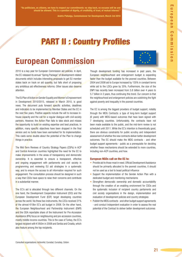"As politicians, as citizens, we have to respect our commitments: no step back, no excuses will be and should be allowed. This is a question of dignity, of credibility, of trust, of mutual interest."

Andris Piebalgs, Commissioner for Development, March 3rd 2010

# PART II : Country Profiles

# European Commission



2010 is a key year for European Commission aid policies. In April, the EC released its annual "Spring Package" of development-related documents which includes interesting proposals to get EU member states back on track on aid quantity, but falls short of proposing any ambitious aid effectiveness reforms. Other issues also deserve attention.

The EU Plan of Action on Gender Equality and Women's Empowerment in Development 2010/2015, released in March 2010, is good news. The document puts forward specific activities, deadlines and indicators to be implemented by Member States and the EC in the next five years. Positive aspects include the will to increase inhouse capacity and the call for a regular dialogue with civil-society partners. However, the Action Plan fails to take stock and misses the opportunity to build on existing expertise and best practices. In addition, many specific objectives have been dropped in the final version and no funds have been earmarked for its implementation. This casts some doubts about the potential of the Plan to change things in practice.

The Mid-Term Reviews of Country Strategy Papers (CSPs) in ACP and Central American countries highlighted the need for the EC to make improvements in the areas of transparency and democratic ownership. It is essential to ensure a transparent, effective and ongoing engagement with parliaments and civil society in programming and reviewing EU aid strategies in a systematic way, and to ensure the access to all information required for such engagement. The consultation process should be designed in such a way that CSOs have space to raise their concerns and contribute in a substantial manner.

The EC's aid is allocated through two different channels. On the one hand, the Development Cooperation Instrument (DCI) and the European Development Fund (EDF) target developing countries across the world. Via these two instruments, the LDCs received 31% of the almost €10bn EC's aid budget in 2008. On the other hand, the European Neighbourhood and Partnership Instrument (ENPI) and the ODA reportable share of the Instrument for Pre-Accession Assistance (IPA) focus on neighbouring and pre-accession countries, mostly middle-income countries. This is the case of Turkey, the EC's largest recipient with € 950m in 2008 and Serbia and Croatia, which also feature among the top recipients.

Though development funding has increased in past years, the European neighbourhood and enlargement budget is expanding faster than the budget available for the poorest countries. Between 2004 and 2008 aid to Europe increased by 135% in constant terms while aid to the LDCs grew by 35%. Furthermore, the size of the ENPI has recently been increased from 5.8 billion over 4 years to 5.7 billion in 3 years, thus continuing this trend. Our concern is that the neighbourhood and enlargement policies are outshining the ight against poverty and inequality in the poorest countries.

The EC is among the biggest providers of budget support, notably through the MDG Contracts: a type of long-term budget support (6 years) with MDG-based outcomes that have been signed with 7 developing countries. Unfortunately, the contracts have not been made available to the public, and the mid-term review is not scheduled until 2011. While the EC's intention is theoretically good, there are obvious constraints for public scrutiny and independent assessment of whether the new contracts deliver better development outcomes. The EC should make the MDG contracts - and other budget support agreements - public as a prerequisite for deciding whether these mechanisms should be extended to more countries, including non-ACP countries, and how.

#### European NGOs call on the EC to:

- Provide aid to those most in need. Official Development Assistance should be primarily allocated to the poorest countries, it should not be used as a tool to boast political influence
- Support the implementation of the Gender Action Plan with a dedicated budget and monitoring mechanisms
- Strengthen democratic ownership and domestic accountability through the creation of an enabling environment for CSOs and the systematic inclusion of recipient country parliaments and civil society organisations in the design, implementation and evaluation of development policies and country strategies
- Publish the MDG contracts and other budget support agreements - and conduct independent evaluation in order to assess the real potential of the Contract to deliver better development outcomes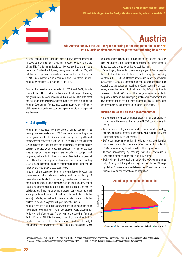Michael Spindelegger, Austrian Foreign Minister, announcing aid cuts in March 2010



### Will Austria achieve the 2010 target according to the budgeted aid levels? No Will Austria achieve the 2010 target without inflating its aid? No

No other country in the European Union cut development assistance in 2009 as much as Austria. Aid has dropped by 32% to 0.30% of the GNI. The fall in aid levels can be explained by a significant decrease of inflated aid figures, mainly debt cancellation. Yet, aid inflation still represents a significant share of the country's ODA (16%). Once inflated aid is discounted from the official figures, Austria only provided 0.25% of its GNI as ODA.

Despite the massive cuts recorded in 2008 and 2009, Austria claims to be still committed to the international targets. However, the government has also recognised that it will be dificult to meet the targets in time. Moreover, further cuts in the core budget of the Austrian Development Agency have been announced by the Ministry of Foreign Affairs and no substantive improvement is to be expected anytime soon.

### • Aid quality

Austria has recognised the importance of gender equality in its development cooperation law (2002) and as a cross cutting issue in the guidelines for the implementation of gender equality and empowerment of women (2006, 2009). In addition, a constitutional law introduced in 2008, requires the government to assess gender equality principles when preparing budgets. In order to evaluate whether gender related aspects are included in budgets and programs, a check list has been introduced. Despite the progress at the political level, the implementation of gender as a cross cutting issue remains incomplete because of staff and budget limitations (as noted by the recent OECD DAC peer review).

In terms of transparency, there is a contradiction between the government's public relations strategy and the availability of information about real efforts in pursuing poverty reduction. Moreover, the structural problems of Austrian ODA (high fragmentation, lack of internal coherence and lack of funding) are not on the political or public agenda. There is a tendency to present contributions to small scale projects and minor contributions to humanitarian activities as major efforts, as well as to present privately funded activities performed by NGOs together with government activities.

Austria is making slow progress towards the implementation of its international commitments (Paris Declaration, Accra Agenda for Action) on aid effectiveness. The government released an Austrian Action Plan on Aid Effectiveness, translating commitments into practice. However, implementation remains trivial due to budget constraints. The government is also keen on consulting CSOs

on development issues, but it has yet to be proven (case by case) whether the true purpose is to improve the participation of democratic actors or to legitimise political decisions.

In Copenhagen, the Austrian government pledged  $\epsilon$ 40 m a year for the EU fast-start initiative to tackle climate change in developing countries (2010 - 2012). Detailed information is not yet available, but Austrian NGOs are concerned about the source of these funds. According to the agreement reached in Copenhagen the fast-start money should be made additional to existing ODA commitments. Moreover, national NGOs would like the government to abide by the policy outlined in the "Strategic guidelines for environment and development" and to focus climate finance on disaster prevention and community based adaptation, in particular in Africa.

#### Austrian NGOs call on their government to:

- Stop breaking promises and adopt a legally binding timetable for increases in the core aid budget to fulfil ODA commitments by 2015.
- Develop a whole-of-government white paper with a clear strategy for development cooperation and clarify what Austria really can contribute to the Paris Declaration.
- Define consultation mechanisms in order to increase participation and make sure political decisions reflect the input provided by CSOs, demonstrating the added value of these processes.
- Improve transparency by ensuring that ODA information is available in detail and provided in a timely manner.
- Make climate finance additional to existing ODA commitments, align funding with the policy strategy outlined in the "Strategic guidelines for environment and development", and focus climate finance on disaster prevention and adaptation.



#### Austria's genuine and inflated aid

Organisations consulted: GLOBALE VERANTWORTUNG –Austrian Platform for Development and Humanitarian Aid; KOO- Co-ordination ofice of the Austrian Episcopal Conference for International Development and Mission; OEFSE- Austrian Research Foundation for International Development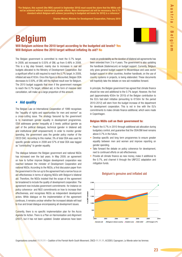$\blacktriangleright$ 

"For Belgium, this summit [the MDG summit in September 2010] must sound the alarm that the MDGs will not be achieved without substantially greater efforts. More development aid will be necessary; the 0.7% standard which Belgium will achieve [according to budgeted aid levels for 2010] is a reference."

Charles Michel, Minister for Development Cooperation, February 2010

# Belgium

Will Belgium achieve the 2010 target according to the budgeted aid levels? Yes Will Belgium achieve the 2010 target without inflating its aid? No

The Belgian government is committed to meet the 0.7% target. In 2009, aid increased to 0.55% of GNI, up from 0.48% in 2008. This is a big step forward, mainly due to increases in real aid budgets allocated to the Ministry of Development Cooperation. But a significant effort is still required to reach the 0.7% target. In 2009, inflated aid was €163m. Once this figure is discounted, Belgian ODA decreases to 0.50%, of GNI, still the highest result ever for Belgium. The 2010 budget suggests that even if the government manages to reach the 0.7% target, inflated aid, in the form of massive debt cancellation, will make up a large proportion of this amount.

### • Aid quality

The Belgian Law on International Cooperation of 1999 recognises the "equality of rights and opportunities for men and women" as a cross-cutting issue. The strategy favoured by the government is to mainstream gender equality in development programmes. ODA addresses gender inequality at 3 levels: political (gender as part of the political dialogue), technical (gender in bilateral aid) and institutional (staff empowerment). In order to monitor gender spending, the government uses the gender policy marker of the OECD DAC. According to this marker, 3% of total ODA was used for specific gender actions in 2008 and 57% of total ODA was tagged as "contributing" to gender equality.

The dialogue between the Belgian government and national NGOs has increased over the last years. In May 2009, an agreement on how to further improve Belgian development cooperation was reached between the minister of Development Cooperation and national NGOs. According to the NGOs, a first discussion paper from the government in the run up to the agreement had a narrow focus on aid effectiveness in terms of aligning NGOs with Belgium's bilateral aid. Therefore, the NGOs insisted that the scope of the agreement be broadened to include the quality of development cooperation. The agreement now includes government commitments -for instance on policy coherence- and NGO commitments on how to increase their effectiveness, and recognises NGOs as independent development actors. While dialogue on the implementation of the agreement continues, it remains unclear whether the increased debate will lead to true and broad dialogue encompassing all development issues.

Currently, there is no specific implementation plan for the Accra Agenda for Action. There is a Plan on Harmonisation and Alignment (2007), but it has not been updated. Greater advances have been



made on predictability as the duration of bilateral aid agreements has been extended from 3 to 4 years. The government is also updating the handbook (Vademecum) on budget support. Currently, Belgium only gives general budget support to Mozambique and uses sector budget support in other countries. Another handbook, on the use of country systems in projects, is being elaborated. These documents will hopefully take the debate on new aid modalities forward.

In principle, the Belgian government has agreed that climate finance should be new and additional to the 0.7% target. However, the first part (approximately €50m for 2010) of the Belgian contribution to the EU's fast-start initiative (amounting to €150m for the period 2010-2012) will stem from the budget increase of the department for development cooperation. This is not in line with the EU's commitments to make climate finance additional, which were made in Copenhagen.

#### Belgian NGOs call on their government to:

- Reach the 0.7% in 2010 through additional aid allocation during budgetary control, and guarantee that the ODA/GNI level remains above 0.7% in the future.
- Develop specific and long term programmes to ensure greater equality between men and women and improve reporting on gender spending.
- Take forward the debate on policy coherence for development, next to continued efforts on aid effectiveness.
- Provide all climate finance as new money, make it additional to the 0.7%, and channel it through the UNFCCC adaptation and mitigation funds.



#### Belgium's genuine and inflated aid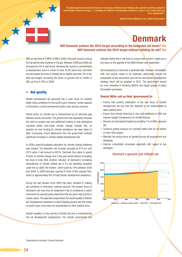

"A global agreement needs to focus on reducing emissions and helping the poorest countries adapt to unavoidable climate change. [...] Funding for efforts in developing countries is also a very important part of an agreement."

Danish Prime Minister, Lars Løkke Rasmussen

# Denmark

# Will Denmark achieve the 2010 target according to the budgeted aid levels? Yes Will Denmark achieve the 2010 target without inflating its aid? Yes

With an aid level of 0.88% of GNI in 2009, Denmark remains among the top performing countries in Europe. Between 2008 and 2009 aid increased by 4% in real terms, stressing the country's commitments to development, even in a time of crisis. At the same time, Denmark has decreased its levels of inflated aid to slightly less than 3% of the total aid budget, increasing the share of genuine aid to 0.86% of GNI, up from 0.78% in 2008.

### • Aid quality

Danish development aid generally has a clear focus on creating better living conditions for the world's poor. However, certain aspects of Denmark's current development policy raise serious concerns.

Danish policy on climate aid is characterized by an alarming gap between words and action. The government has repeatedly stressed the need to provide new and additional funding to help developing countries tackle man-made climate change. Despite this, no decision on new funding for climate assistance has been taken to date. Conversely, recent statements from the government indicate significant increases in climate related development aid.

In 2008 a special budgetary allocation for climate change initiatives was created. The allocation will increase annually by €13.5m until 2012 when it will amount to €67m. Denmark thus plans to spend €160m on climate change over a five year period without increasing the level of total ODA. Another indicator of Denmark's increasing expenditures of climate related aid is it's aid spending classified under the so called 'Rio marker', which grew by 14% between 2006 and 2008. In 2008 Denmark reported €154m of Rio marked ODA, which is approximately 8% of total Danish development assistance.

During the last decade much effort has been invested in making aid contribute to Denmark's national security. The poverty focus of Denmark's aid may thus be weakened if aid is considered a useful instrument for security policy objectives that are given high priority in certain cases. This approach jeopardises the overall quality of Danish aid. Development assistance is about ighting poverty and the needs of world's poor must never be subordinated to other political aims.

Gender equality is a key priority in Danish aid and is mainstreamed into all development programmes. The Danish government has officially stated that it will work to ensure that women's rights are a key issue on the agenda of the MDG Review next September.

Aid transparency in Denmark is generally high. However, consultation with civil society needs to be improved, particularly around the preparation of key documents such as the new Danish development strategy which will be adopted in 2010. The government should be more proactive in involving NGDOs and target groups in policy formulation processes.

#### Danish NGOs call on their government to:

- Ensure that poverty eradication is the key focus of Danish development aid and that this objective is not subordinated to other political aims.
- Ensure that climate financing is new and additional to ODA and improve budget transparency on climate finance.
- Become an international leader by providing 1% of GNI in genuine aid.
- Continue putting pressure on member states that do not deliver on their ODA targets.
- Maintain the strong focus on gender across all programmes and strategies.
- Improve consultation processes especially with regard to key strategies.



#### Denmark's genuine and inflated aid

Organisations consulted: Concord Danmark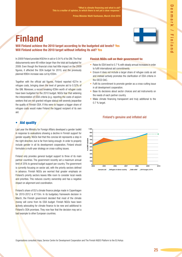Prime Minister Matti Vanhanen, March 23rd 2010

# Finland

Will Finland achieve the 2010 target according to the budgeted aid levels? Yes Will Finland achieve the 2010 target without inflating its aid? Yes

In 2009 Finland provided €924m in aid or 0.54 % of its GNI. The inal disbursements were €8 million larger than the total aid budgeted for 2009. Even though the inancial crisis had little impact on the 2009 igures, it affected the ODA budget for 2010, and the previously planned €80m increase was cut by €30m.

Together with the official aid figures, Finland reported €27m in refugee costs, bringing down the level of genuine aid to 0.52% of the GNI. Moreover, a record breaking €39m worth of refugee costs have been budgeted for the 2010 budget. NGOs fear that widening the interpretation of ODA criteria (e.g. reporting the costs of asylum seekers that are not granted refugee status) will severely jeopardise the quality of Finnish ODA. If this were to happen a bigger share of refugee costs would make Finland the biggest recipient of its own aid.

# • Aid quality

Last year the Ministry for Foreign Affairs developed a gender toolkit in response to evaluations showing a decline in Finnish support for gender equality. NGOs feel that this concise kit represents a step in the right direction, but is far from being enough. In order to properly include gender in all its development cooperation, Finland should formulate a multi-year strategy on cross-cutting issues.

Finland only provides general budget support to three of its main partner countries. The government recently set a maximum annual limit of 25% to general budget support per country. The government is currently focusing on sector aid, with the priority sectors defined in advance. Finnish NGOs are worried that greater emphasis on Finland's priority sectors leaves little room to consider local needs and priorities. This reduces country ownership and has a negative impact on alignment and coordination.

Finland's share of EU's climate finance pledge made in Copenhagen for 2010-2012 is €110m. In its budgetary framework decision in March, the Finnish government decided that most of the climate money will come from its ODA budget. Finnish NGOs have been actively advocating for climate finance to be new and additional to Finland's ODA promises. They now fear that the decision may set a bad example to other European countries.

# Finnish NGOs call on their government to:

- Raise its ODA level to 0.7 % with steady annual increases in order to fulfil international aid commitments.
- Ensure it does not include a larger share of refugee costs as aid and instead actively promotes the clarification of ODA criteria in the OECD DAC.
- Fulfil its commitment to promote gender as a cross-cutting issue in all development cooperation.
- Base its decisions about sector choices and aid instruments on the needs of each partner country.
- Make climate financing transparent and truly additional to the 0.7 % target.



### Finland's genuine and inflated aid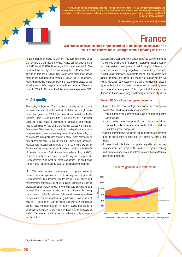

"I would also like to emphasize the need – the absolute necessity – for us to offer our support to the poorer nations. They are the victims of this crisis. Some now face the real risk of seeing their considerable efforts in recent years towards achieving the millennium development goals being completely nulliied if we do not show solidarity."

Nicolas Sarkozy, London G20 Summit, April 2009

# France

# Will France achieve the 2010 target according to the budgeted aid levels? No Will France achieve the 2010 target without inflating its aid? No

In 2009, France increased its ODA by 17%, reaching 0.46% of its GNI. Despite the significant increase. France still remains far from its 2010 target (0.51%). Moreover, official figures conceal  $€1.6$ bn in inflated aid, the highest amount among the EU Member States. This figure amounts to 18% of all ODA and, when discounted, shows that genuine aid represents a meagre 0.38% of the GNI. In addition, France has decided to start counting the revenues generated by the air ticket levy as ODA, despite the commitment made in 2006 not to do so. In 2009, €153m from the air ticket levy were reported as ODA.

### • Aid quality

The quality of France's ODA is declining steadily as the country increases the amount of bilateral aid it disburses through loans rather than grants. In 2009, loans have almost tripled - a 178% increase - from €469m in 2008 to €1,306m in 2009. A significant share of these funds is allocated to emerging and middleincome countries. On top of this the French Secretary of State for Cooperation, Alain Joyandet, stated that providing direct assistance to a given country was the best way to maintain the French flag up, as well as the strong influence needed to allow French companies to develop their activities. By the end of 2008, China, Egypt, Indonesia, Morocco and Pakistan represented 34% of ODA loans owned by France. In most cases, these loans have been granted to the beneit of French companies. Statistics available indicate that, in 2008, 51% of markets tenders launched by the Agence Française de Développement (AFD) went to French companies. The good news is that France has been able to keep its multilateral commitments.

 In 2009, there has been some progress on gender issues in France. The main operator of French aid, Agence Française de Développement, has included gender issues in its social and environmental procedures for all its projects. Moreover, a speciic project dedicated to the promotion of women as actors of development in West Africa has been initiated; with a parliamentarian being commissioned by the Secretary of State to make recommendations on how to increase the importance of gender issues in development policies. Funding is still lagging behind however. In 2009, France did not have earmarked funds for gender quality and women's empowerment, making it really hard to quantify funds allocated to address these issues, and by extension, to know exactly how much has been done.

Migration is increasingly being mainstreamed into ODA programmes. The Ministry dealing with migration, integration, national identity and 'cooperative' development is reinforcing its influence on French development policy. Migration is systematically mentioned in partnership framework documents (which are negotiated with partner countries and define the priorities of French aid for five years). Moreover, ODA resources are being mobilized in bilateral agreements for the "concerted management of migratory flows and cooperative development". This suggests that, in some cases, development policies are being used for migration control objectives.

#### French NGOs call on their government to:

- Ensure that the new strategic framework for development cooperation, which is currently being prepared:
	- has a rights-based approach and focuses on fighting poverty and inequality;
	- incorporates three fundamental (and binding) principles: ownership, participation of all actors and mutual accountability; - includes a gender perspective.
- Adopt a programming law setting annual milestones to increase genuine aid in order to meet the 0.7% target by 2015 at the latest.
- Increase funds dedicated to gender equality and women empowerment and adopt OECD markers on gender equality and women empowerment in order to improve the monitoring of existing commitments.



#### France's genuine and inflated aid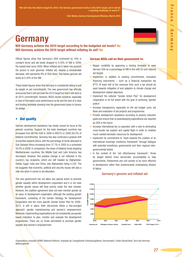m

"We will miss the interim target for 2010. The German government sticks to the 2015 target, but it will be a sporting challenge to reach it".

Dirk Niebel, German Development Minister, March 2010

# Germany

Will Germany achieve the 2010 target according to the budgeted aid levels? No Will Germany achieve the 2010 target without inflating its aid? No

Official figures show that Germany's ODA contracted by 16% in constant terms and aid levels dropped to 0.35% of GNI in 2009, the lowest level since 2005. When inflated aid is taken into account the picture is even gloomier. Inflated aid, despite a considerable decrease, still represents 9% of ODA flows. This leaves genuine aid levels at 0.32% of the GNI.

These feeble figures show that Germany is consistently failing to pull its weight on aid commitments. The new government has officially announced that it will not meet the 2010 target but that it will stick to its 2015 commitments. However, NGOs remain sceptical, especially in view of Germany's poor performance so far and the lack of a clear and binding timetable showing how the government plans to honour its pledge.

# **Aid quality**

German development assistance has slowly moved its focus to the poorest countries. Support for the least developed countries has increased from €619m EUR in 2008 to €827m in 2009 (50.5% of bilateral commitments). Germany has also continued a gradual shift of priorities towards Africa, with the percentage of funds allocated to Sub-Saharan Africa increasing from 27.7% in 2002 to a scheduled 50.0% in 2009. In comparison, the share of bilateral funds targeting Mediterranean countries, the Middle East and Latin America has decreased. However, this positive change is not reflected in the country's top recipients, which are still headed by Afghanistan, Serbia, Egypt, India and China, only Afghanistan being a LDC. The list suggests that economic, political and security issues still play a vital role when it comes to aid allocation.

The new government has not taken any special action to promote gender equality within development cooperation and it is not clear whether gender issues will have priority under the new minister. However, the coalition agreement does not even mention gender as an issue of development cooperation, although the existing gender framework, consisting of the Gender Strategy for Development Cooperation and the more specific Gender Action Plan for 2009– 2012, is still in place. Both documents follow a two-pronged approach: gender mainstreaming and women's empowerment. Moreover, implementing organisations do not consistently use gender based indicators to plan, monitor and evaluate the development programmes. There are no funds earmarked to promote gender equality and women's empowerment.

#### German NGOs call on their government to:

- Regain credibility by approving a binding timetable to raise German ODA as a percentage of GNI in line with EU and national aid targets
- Implement, in addition to existing commitments, innovative financing instruments – such as a financial transaction tax (FTT). At least half of the revenues from such a tax should be used towards mitigation of and adaption to climate change and development related objectives
- Implement the national "Gender Action Plan" for development cooperation to its full extent with the goal of achieving "gender justice"
- Increase transparency, especially on the aid budget cycle, aid flows and evaluation of aid projects and programmes
- Provide development assistance according to poverty reduction goals and ensure that no peacekeeping expenditures are reported as ODA in the future
- Increase international tax co-operation with a view to eliminating cross-border tax evasion and capital flight in order to mobilise much-needed domestic resources for development
- Implement its commitment to "work towards the creation of an international sovereign insolvency framework" through dialogue with potential beneficiary governments and their regional intergovernmental bodies
- In the context of the "aid effectiveness framework", throw its weight behind more democratic accountability to help governments, Parliaments and civil society to be more effective in development rather than predominantly emphasising division of labour.



#### Germany's genuine and inflated aid

Organisations consulted: VENRO (National Platform), erlassiahr.de, Evangelischer Entwicklungsdienst, Germanwatch, Oxfam Deutschland, Terre des Hommes, **Welthungerhilfe**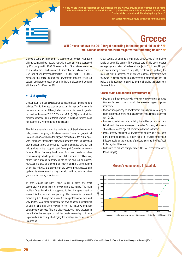

we are trying to straighten out our priorities and the way we provide aid in order for it to be more effective and our citizens to be more informed […]. We believe that this is an important sector of the Foreign Ministry's work and it is a high priority for us."

Mr. Spyros Kouvelis, Deputy Minister of Foreign Affairs

# **Greece**

# Will Greece achieve the 2010 target according to the budgeted aid levels? No Will Greece achieve the 2010 target without inflating its aid? No

Greece is currently immersed in a deep economic crisis; with 2009 aid figures having been severely cut. Aid in constant terms decreased by 12% compared to 2008. The contraction of the national economy as a result of the crisis has eased the impact of this fall on aid levels: ODA in % of GNI decreased from 0.20% in 2008 to 0.19% in 2009. Alongside the official figures, the government reported  $E$ 79m on student and refugee costs. When this figure is discounted, genuine aid drops to 0.15% of the GNI.

### • Aid quality

Gender equality is usually relegated to second place in development policies. This is the case even when examining 'gender' projects in the education sector. Although data shows an increase in gender focused aid between 2007 (37%) and 2008 (58%), almost all the projects screened did not target women. In addition, Greece does not support any women rights organisations.

The Balkans remain one of the main focus of Greek development policy, as are other geographical areas where Greece has geopolitical interests. Albania still gets the biggest proportion of the aid budget. with Serbia and Afghanistan following right after. With the exception of Afghanistan, none of the top ten recipient countries of Greek aid belong either to the group of Least Developed Countries, or to sub-Saharan Africa. Focusing development funds on poverty reduction remains a major challenge in Greece. ODA is seen as a political tool, rather than a means to achieving the MDGs and reduce poverty. Moreover, the type of projects that receive funding is often defined by political criteria. It is urgent that the government assesses and updates its development strategy to align with poverty reduction goals and increasing effectiveness.

To date, Greece has been unable to put in place any basic accountability mechanisms for development assistance. The main problem faced by all actors supposed to hold the government to account is the lack of transparency. The information provided proactively (i.e. through the internet) is completely out of date and very limited. Most times national NGOs have to spend an incredible amount of time and effort looking for the information without any guarantees of success. This is a clear obstacle to make progress in the aid effectiveness agenda and democratic ownership, but more importantly, it is clearly challenging the existing law on access to information.

Greek tied aid amounts to a total share of 62%, one of the highest levels amongst EU donors. The biggest part of this goes towards emergency/humanitarian/food security projects. This is one of biggest challenges amongst Greek ODA quality problems and probably the most dificult to address, as it involves opaque agreements with the Greek business sector. The government is strongly backing this policy and is not showing any intention of changing this practice in the near future.

#### Greek NGOs call on their government to:

- Design and implement a solid women's empowerment strategy. Women focused projects should be screened against gender indicators.
- Improve transparency on development issues by implementing an open information policy and establishing consultation processes with CSOs.
- Improve poverty focus, stop inflating the aid budget and deliver a fair share to the least developed countries. Similarly, all projects should be screened against poverty eradication indicators.
- Make primary education a development priority as it has been proved that education is a key factor in poverty eradication. Effective tools for the funding of projects, such as the Fast Track Initiative, should be used.
- Fully untie its aid and comply with OECD DAC recommendations for aid untying.



#### Greece's genuine and inflated aid

Organisations consulted: ActionAid, Hellenic Committee of Development NGOs (Concord National Platform), Greek Coalition Against Poverty (GCAP)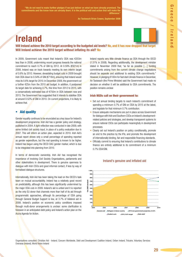ഒ

 "We do not need to make further pledges if we just deliver on what we have already promised. The commitments and the know-how are already there. It is the political will and action that will make the difference."

An Taoiseach Brian Cowen, September 2008

# Ireland



Will Ireland achieve the 2010 target according to the budgeted aid levels? No, and it has now dropped that target Will Ireland achieve the 2010 target without inflating its aid? No

In 2009, Government cuts meant that Ireland's ODA was €203m less than in 2008, undermining recent progress towards the national commitment to reach 0.7% of GNI by 2012. At 0.59% (€921m) in 2008, Ireland was on track towards meeting its own interim target of 0.6% by 2010. However, devastating budget cuts in 2009 brought Irish ODA down to 0.54% of GNI (€718m), ensuring that Ireland would miss its 0.6% target for 2010. In December 2009, the government cut a further €25m from the 2010 aid budget. In addition, it postponed its target date for achieving 0.7%, this time from 2012 to 2015, with a conservatively estimated loss of €750m in ODA between now and 2015. The Government has suggested that it intends to stabilise ODA at around 0.52% of GNI in 2010. On current projections, it is likely to achieve that.

# • Aid quality

Gender equality continues to be enunciated as a key issue for Ireland's development programme. Irish Aid has a gender policy and strategy, published in 2004. A light reflection was conducted in late 2009, with some limited civil society input, in place of a policy evaluation due in 2007. This will inform an action plan, expected in 2010. Irish Aid's annual report shows only a small percentage of spending reported as gender expenditure, but the real spending is known to be higher. Ireland has begun using the OECD DAC gender marker, which is due to be integrated into planning from 2010.

In terms of democratic ownership, Irish Aid has recognised the importance of involving Civil Society Organisations, parliaments and other stakeholders in development. There is genuine openness to dialogue with Irish CSOs and good informal contact, if less by way of formalised dialogue structures.

Internationally, Irish Aid has been taking the lead on the OECD's task team on mutual accountability. Ireland has a relatively good record on predictability, although this has been significantly undermined by the major ODA cuts in 2009. Ireland's aid is untied and it is reported as the only EU donor that channels more than half of its aid through programmatic approaches, although its percentage of ODA going through General Budget Support is low, at 3.7% of bilateral aid in 2008. Ireland's position on economic policy conditions imposed through multi-donor arrangements is unclear: some clarification is foreseen in an anticipated debt policy and Ireland's action plan on the **Accra Agenda for Action.** 

Ireland reports very little climate finance as ODA through the OECD (1.51% in 2008). Regarding additionality, the development minister stated in November 2009 that, "as far as possible [...] funding commitments arising from the current climate change negotiations should be separate and additional to existing ODA commitments." However, in pledging €100m for fast start climate finance in December, An Taoiseach (the Prime Minister) said the Government had made no decision on whether it will be additional to ODA commitments. The position remains unclear.

#### Irish NGOs call on their government to:

- Set out annual binding targets to reach Ireland's commitment of spending a minimum 0.7% of GNI on ODA by 2015 at the latest, and legislate for that minimum 0.7% contribution.
- Ensure adequate mechanisms are put in place across Government for dialogue with Irish and Southern CSOs on Ireland's developmentrelated policies and strategies, and develop transparent systems to ensure national CSOs can participate meaningfully in development processes.
- Clearly set out Ireland's position on policy conditionality, promote an end to the practice by the IFIs, and promote the development of internationally binding, fair and responsible financing standards.
- Officially commit to ensuring that Ireland's contributions to climate finance are entirely additional to its commitment of a minimum 0.7% ODA/GNI.



### Ireland's genuine and inflated aid

Organisations consulted: Christian Aid - Ireland, Concern Worldwide, Debt and Development Coalition Ireland, Oxfam Ireland, Trócaire, Voluntary Services Overseas (Ireland), World Vision Ireland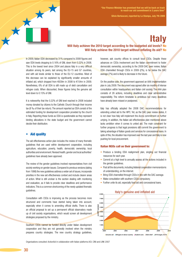

"Our Finance Minister has promised that we will be back on track to reach our aid commitment in 3 years time'

Silvio Berlusconi, reported by La Stampa, July 7th 2009

# Italy

# Will Italy achieve the 2010 target according to the budgeted aid levels? No Will Italy achieve the 2010 target without inflating its aid? No

In 2009, Italian ODA decreased by 31% compared to 2008 igures and saw ODA levels dropping to 0.16% of GNI, down from 0.22% in 2008. This is the lowest level since 2004 and places Italy in a very difficult situation among its peers, last among the EU-15 and G7 countries, and with aid levels similar to those of the EU-12 countries. Most of this decrease can be explained by significantly smaller amounts of inflated aid, which dropped from €639m in 2008 to €154m in 2009. Nonetheless, 6% of all ODA is still made up of debt cancellation and refugee costs. When discounted, these figures bring the genuine aid level down to 0.15% of GNI.

It is noteworthy that the 0.22% of GNI level reached in 2008 included money donated by citizens to the Catholic Church through their income tax (8 ‰ of their tax return). The amount reported as ODA consist of the estimated funding for development cooperation provided by the church in Italy. Reporting these funds as ODA is questionable as they represent binding allocations in the state budget and the government cannot decide their distribution.

### • Aid quality

The aid effectiveness action plan includes the review of many thematic guidelines that are used within development cooperation, including agriculture, education, poverty, health, democratic ownership, local authorities and environment. Revised health, gender and local authorities' guidelines have already been approved.

The review of the gender guidelines involved representatives from civil society working on gender issues. Compared to previous versions (dating from 1998) the new guidelines address a wider set of issues, incorporate priorities in the new aid effectiveness context and include clearer areas of action. What is still unclear is the section dealing with monitoring and evaluation, as it fails to provide clear deadlines and performance indicators. This is a common shortcoming of the newly updated thematic guidelines.

Consultation with CSOs is improving as the process becomes more structured and comments have started being taken into account, especially when it comes to amending oficial drafts. There is also an oficial proposal to set up a permanent oficial observatory made up of civil society organisations, which would screen all development strategies proposed by the ministry.

Southern CSOs cannot be funded directly under Italian development cooperation and they are not generally involved when the ministry prepares country strategies. The new country strategy guidelines, however, ask country offices to consult local CSOs. Despite these advances on CSOs involvement and the Italian commitment to foster democratic ownership, according to the 2009 DAC peer review, Italian ODA channelled through CSOs in 2009 (2%), is far below the DAC average (7%) and is likely to decrease in the future.

On the positive side, the government approved an AAA implementation plan in July 2009. The document was agreed after six months of intense consultation within headquarters and Italian civil society. The AAA plan consists of 26 actions, including deadlines and clear administrative responsibility. The reform timetable is ambitious but many deadlines have already been missed or postponed.

Italy has officially adopted the 2008 DAC recommendations for extending untied aid to the HIPC. Yet, as the DAC peer review states, it is not clear how Italy will implement the Accra commitment on further untying. In addition, the Italian aid effectiveness plan mentioned above lacks ambition when it comes to untied aid. The main constraint for further progress is that legal provisions still commit the government to taking advantage of Italian goods and services for concessional loans. In spite of this, the situation has improved over the last year and Italy is now pushing for local procurement.

#### Italian NGOs call on their government to:

- Produce a binding ODA realignment plan, singling out financial resources for each year.
- Commit at a high level to annually assess all the actions included in the gender guidelines.
- Post all the documents, including bilateral cooperation memorandums of understanding, on the internet.
- Bring ODA channelled through CSOs in line with the DAC average.
- Make consultation with southern CSOs compulsory.
- Further untie its aid, especially food aid and concessional loans.



Organisations consulted: ActionAid in collaboration with Italian platforms AOI, CINI and LINK 2007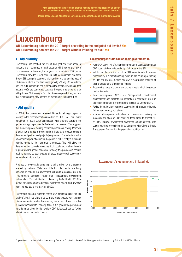"The complexity of the problems that we need to solve does not allow us to stay in our respective corners anymore, each of us inventing our own part of the truth.

Marie-Josée Jacobs, Minister for Development Cooperation and Humanitarian Action

# Luxembourg

Will Luxembourg achieve the 2010 target according to the budgeted aid levels? Yes Will Luxembourg achieve the 2010 target without inflating its aid? Yes

# • Aid quantity

Luxembourg has reached the 1% of GNI goal one year ahead of schedule and it continues to head, together with Sweden, the rank of European donors. However, the progress recorded since 2008, when Luxembourg provided 0.92% of its GNI in ODA, was mainly due to the drop of GNI during the economic crisis and not to a serious increase of ODA money, which in constant terms, grew by 2% only. On aid inflation and tied aid Luxembourg has a very positive record. Having said that, national NGOs are concerned because the government seems to be willing to use ODA money to fund its climate responsibilities, and fear that climate change may become an exception in the near future.

### • Aid quality

In 2009, the government released 10 sector strategy papers in reaction to the recommendations made in an OECD DAC Peer Review conducted in 2008. After consultation with different partners, the gender strategy paper was the first one to be reviewed. This suggests that the development ministry considers gender as a priority. Moreover, it looks like progress is being made in integrating gender issues in development policies and projects/programmes. The establishment of an operational plan of action for the period 2010-2012 by a ministerial working group is the next step announced. This will allow the development of concrete measures, tools, goals and markers in order to push forward gender concerns. In theory this progress is positive, but it remains to be seen whether all these initiatives will successfully be translated into practice.

Progress on democratic ownership is being driven by the pressure exerted by national CSOs, and little by little, results are being achieved. In general the government still tends to consider CSOs as "implementing agencies" rather than "independent development stakeholders". This point is also confirmed by the fact that in 2010 the budget for development education, awareness raising and advocacy work represented only 0.68% of all ODA.

Luxembourg does not currently screen ODA projects against the "Rio Markers", but it has plans to do so in the future together with the new climate adaptation marker. Luxembourg has so far not been proactive in international climate financing talks, but in general the government considers that, given the high levels of ODA delivered, it can be flexible when it comes to climate finance.

#### Luxembourger NGOs call on their government to:

- Keep ODA above 1% of GNI and ensure that the absolute amount of ODA does not drop, independently of changes in the GNI.
- Not to use the positive record in ODA commitments to escape responsibility in climate financing. Avoid double-counting of funding as ODA and UNFCCC funding and give a clear public definition of their understanding of additional finance.
- Broaden the range of projects and programmes to which the gender marker is applied.
- Treat development NGOs as "independent development stakeholders" and facilitate the integration of "southern" CSOs in the establishment of the "Programme Indicatif de Coopération".
- Revise the national development cooperation bill in order to include further transparency obligations.
- Improve development education and awareness raising by increasing the share of ODA spent on these areas to at least 2% of ODA. Improve development awareness among citizens. One option could be to establish, in collaboration with CSOs, a Public Transparency Desk which the population could turn to.



#### Luxembourg's genuine and inflated aid

Organisations consulted: Caritas Luxembourg; Cercle de Coopération des ONG de développement au Luxembourg; Action Solidarité Tiers Monde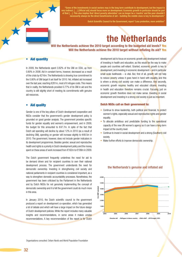

s in social sectors may in the long term contribute to development, but the impact is very indirect. […] [Oficial aid] should focus more on development. Economic growth in particular should be part of that […]. This also implies that 'direct poverty alleviation' can no longer be a 'mantra' and the poor shouldn't ssarily always be the direct beneficiaries of aid – building the middle class is key to development."

Dutch Scientific Council to the Government, report "Less pretention, more ambition"

# the Netherlands

# Will the Netherlands achieve the 2010 target according to the budgeted aid levels? Yes Will the Netherlands achieve the 2010 target without inflating its aid? Yes

### **Aid quantity**

In 2009, the Netherlands spent 0.82% of the GNI on ODA, up from 0.80% in 2008. Aid in constant terms, however, decreased as a result of the crisis by €216m. The Netherlands is showing true commitment to the 0.80% of GNI target it set itself for 2010. Yet, inflated aid increased over the last year, reaching €281m, most of it refugee costs. This means that in reality, the Netherlands provided 0.77% of its GNI in aid and the country is still slightly short of meeting its commitments with genuine aid resources.

### **Aid quality**

Gender is one of the key pillars of Dutch development cooperation and NGOs consider that the government's gender development policy is grounded on good gender analysis. The government provides speciic funds for gender equality and women's empowerment, and in 2009, the budget for this amounted to  $€47.7$ m. In spite of the fact that Dutch aid spending will decline by about 12% in 2010 (as a result of declining GNI), spending on gender will increase slightly to €48.5m in 2010. The government, however, does not include gender indicators in its development programmes. Besides gender, sexual and reproductive health and rights is a priority in Dutch development policy and the money spent on these areas of work increased from €162m to €199m in 2009.

The Dutch government frequently underlines the need for aid to be demand driven and for recipient countries to own their national development process. The government understands the need for democratic ownership. Investing in strengthening civil society and national parliaments in recipient countries is considered important, as a way to strengthen domestic accountability processes. Nonetheless, the government has been criticised by the Parliament in the Netherlands and by Dutch NGOs for not genuinely implementing the concept of democratic ownership and it is felt the government could do much more in this area.

In January 2010, the Dutch scientific council to the government produced a report on development co-operation, which has generated a lot of debate and which will have a large impact on the future design of Dutch development policies. While the report includes many valuable insights and recommendations, in some areas it makes unwise recommendations. A key recommendation of the report is for Dutch

development aid to focus on economic growth and development instead of investing in health and education, as this would be the way to make people and countries self-reliant. Granted, economic growth is key to development, and investing in economic development  $\frac{1}{2}$  and in particular small scale livelihoods – is vital. But, first of all, growth will not help to reduce poverty unless it goes hand in hand with equality, and this is where a strong civil society can make a difference. And secondly, economic growth requires healthy and educated citizens: investing in health and education therefore remains crucial. Focusing just on economic growth therefore does not make sense. Investing in social development and investing in a strong civil society is just as important.

#### Dutch NGOs call on their government to:

- Continue to show leadership, both political and financial, to protect women's rights, especially sexual and reproductive rights and gender equality.
- To allocate ambitious and predictable funding to the operational capacity of the new UN women's agency so it can have a long-term impact at the country level.
- Continue to invest in social development and a strong (Southern) civil society.
- Make further efforts to improve democratic ownership.



#### the Netherlands's genuine and inlated aid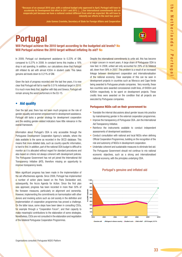"Because of an unusual 2010 year, with a national budget only approved in April, Portugal will have to accelerate its Development Aid effort in 2011 and 2012. […] Our International commitments did not evaporate just because we have a national context different from what we expected. We will have to intensify our efforts in the next two years."

João Gomes Cravinho, Secretary of State for Foreign Affairs and Cooperation

# Portugal

Will Portugal achieve the 2010 target according to the budgeted aid levels? No Will Portugal achieve the 2010 target without inflating its aid? No

In 2009, Portugal cut development assistance to 0.23% of GNI, compared to 0.27% in 2008. In constant terms this implies a 16% drop in aid spending. In addition, our calculations show that Portugal still inflated its aid with almost €30m in student costs. This takes genuine aid levels down to 0.21% of GNI.

Given the lack of progress recorded over the last few years, it is now clear that Portugal will fail to meet its 0.51% individual target in 2010. It is much more likely that, together with Italy and Greece, Portugal will remain among the worst performers in the EU-15.

### **Aid quality**

Over the last year, there has not been much progress on the role of gender equality and women empowerment in development assistance. Portugal still lacks a gender strategy for development cooperation and the existing gender-related indicators have little relevance in the overall framework.

Information about Portugal's ODA is only accessible through the Portuguese Development Cooperation Agency's website, where the data available is the same as recorded in the OECD database. This means that more detailed data, such as country-specific information. is hard to find. In addition, part of the national ODA budget is difficult to monitor as it is allocated without regard for standard procedures and also based on criteria not always coherent with development policies. The Portuguese Government has not yet joined the International Aid Transparency Initiative (IATI), therefore missing an opportunity to improve transparency levels.

More significant progress has been made in the implementation of the aid effectiveness agenda. Since 2006, Portugal has implemented a number of action plans based on the Paris Declaration and, subsequently, the Accra Agenda for Action. Since the first plan was approved, progress has been recorded in more than 50% of the foreseen measures, particularly on alignment and ownership. However, implementing the commitments on harmonisation with other donors and involving actors such as civil society in the definition and implementation of cooperation programmes has proved a challenge. On the latter issue, some steps have been taken in consulting CSOs, for example through a "Cooperation Forum", and their capacity to make meaningful contributions to the elaboration of some strategies. Nonetheless, CSOs are not consulted in the elaboration and negotiation of the bilateral Portuguese Cooperation Programmes.

Despite the international commitments to untie aid, this has become a major concern in recent years. A large share of Portuguese ODA is now tied. In 2008, untied aid only accounted for 29% of its bilateral aid, down from 58% in 2007. This problem is a result of an increased linkage between development cooperation and internationalisation of the national economy. Clear examples of this can be seen in development projects in countries such as Morocco and Cape Verde being awarded to Portuguese private companies. Very recently, these two countries were awarded concessional credit lines, of €400m and €200m respectively, to be spent on development projects. These credits lines were awarded on the condition that all projects are executed by Portuguese companies.

#### Portuguese NGOs call on their government to:

- Translate the internal discussions about gender issues into practice by mainstreaming gender in the external cooperation programmes.
- Improve the transparency of Portuguese ODA. Join the International Aid Transparency Initiative.
- Reinforce the instruments available to conduct independent assessments of development assistance.
- Conduct consultation with national and local NGOs when defining Official Cooperation Programmes, building on the recognition of the role and autonomy of NGOs in development cooperation.
- Undertake coherent and sustainable measures to eliminate tied aid. The Portuguese Government should not continue to mix national economic objectives, such as a strong and internationalised national economy, with the principles underlying ODA.



#### Portugal's genuine and inflated aid

**Genuine aid Refugees in donor country Student costs Debt relief 2010 target, 0.51%**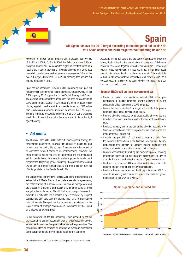

Soraya Rodríguez, State Secretary for Development Cooperation, May 2010

# **Spain**

# Will Spain achieve the 2010 target according to the budgeted aid levels? No Will Spain achieve the 2010 target without inflating its aid? No

According to official figures, Spanish ODA increased from 0.45% of its GNI in 2008 to 0.46% in 2009, but failed to achieve 0.5% as budgeted. Despite this, aid contracted slightly in constant terms as a result of the impact of the crisis on the national economy. In 2009 debt cancellation and student and refugee costs represented 3.5% of the total aid budget, down from 5% in 2008, meaning that genuine aid actually increased in 2009.

Spain has just announced ODA cuts in 2010, confirming that Spain will not achieve its commitments, neither the 0.51% target by 2010, or the 0.7% target by 2012 as promised in the Pact of State against Poverty. The government has therefore announced the need to reschedule its 0.7% commitment. Spanish NGOs stress the need to adopt legally binding legislation and a realistic and verifiable national ODA action plan, establishing a 'credible timetable' to achieve the 0.7% target. The time is right to review and stop counting as ODA some expenses which do not benefit the most vulnerable or contribute to the fight against poverty.

### • Aid quality

The III Master Plan 2009-2010 sets out Spain's gender strategy for development cooperation. Spanish ODA should be based on, and remain consistent with, this strategy. There are some issues yet to be addressed when it comes to its implementation, however. The main obstacles include the lack of information and the inadequate existing gender-based indicators to evaluate gender in development programmes. Regarding gender budgeting, the government allocated 9% of ODA to promote gender equality, but that is still far from the 15% target stated in the Gender Equality Plan.

Transparency has improved over the last year. Some improvements are set out in the III Master Plan such as bilateral association agreements, the establishment of a service sector, multilateral management and the creation of a planning and quality unit, although some of these are yet to be implemented. We still find shortcomings, however, for example, it is difficult to find a detailed budget breakdown by recipient country; and ODA data does not provide much time for participation with civil society. The quality of the process of consultations for the large number of strategic documents is undermined by the limited time allowed for external inputs.

In the framework of the EU Presidency, Spain pledged to set the promotion of transparent accountability as an aid effectiveness priority, as well as to lead the European debate on aid fragmentation. The government plans to establish an information exchange mechanism about European donors moving in and out of partner countries.

Organisation consulted: Coordinadora de ONG para el Desarrollo - España

According to this framework and the Code of conduct on division of labour, Spain is leading the coordination of a process of division of labour in Bolivia and, together with other countries, the European aid effort in Haiti. Nonetheless, it is also worth noting that Spain faces specific internal coordination problems as a result of the multiplicity of both public (decentralised cooperation) and private actors. As a consequence, it remains to be seen whether the government can improve coordination or not.

#### Spanish NGOs call on their government to:

- Publish a realistic and verifiable national ODA action plan establishing a 'credible timetable' towards achieving 0.7% and adopt national legislation on the 0.7% aid target.
- Ensure that the cuts in the ODA budget will not affect the poorest countries, basic social services or aid quality.
- Promote effective measures to generate additional resources and introduce new sources of financing for development, in addition to ODA.
- Reinforce capacity within the authorities directly responsible for Spanish cooperation in order to improve the aid effectiveness and management of Spanish aid.
- Consider the possibility of redistributing roles and tasks from the central to local offices of the Spanish Development Agency, empowering their capacity for decision making, autonomy and dialogue with other stakeholders (donors, civil society, etc.).
- Improve accountability by making aid more transparent, providing information regarding the execution and performance of ODA on a regular basis and evaluating the results of Spanish cooperation.
- Disclose comprehensive ODA information and make it accessible. ensuring enough time for civil society's participation.
- Reinforce human resources and build capacity within AECID in order to improve gender focus and create the tools for gender mainstreaming into ODA as a whole.

#### Spain's genuine and inflated aid



**Genuine aid Refugees in donor country Student costs Debt relief 2010 target, 0.51%**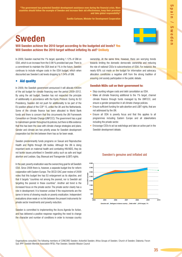"The government has protected Swedish development assistance even during the financial crisis. More countries should follow the example of Sweden and increase their aid effectiveness, keep their promise and take global responsibility"

Gunilla Carlsson, Minister for Development Cooperation

# Sweden

Will Sweden achieve the 2010 target according to the budgeted aid levels? Yes Will Sweden achieve the 2010 target without inflating its aid? Unlikely

In 2009, Sweden reached the 1% target, spending 1.12% of GNI on ODA, which is an increase from the 0.98 % provided last year. There is a commitment to maintain the ODA level at 1% in the future. Sweden continues to include refugee costs in the ODA budget, which when discounted see Sweden's aid levels dropping to 1.04% of GNI.

### • Aid quality

In 2009, the Swedish government announced it will allocate €400m of the aid budget for climate financing over the period 2009–2012. By using the aid budget, Sweden has not respected the principle of additionality in accordance with the Kyoto Protocol. During its EU Presidency, Sweden did not push for additionality to be part of the EU position ahead of the COP 15, unlike the UK and the Netherlands. Some of the climate finance has been allocated to World Bank funds and there is concern that this circumvents the UN Framework Convention on Climate Change (UNFCCC). The government has a goal to mainstream gender throughout its policies, but there is little evidence that this has been the case with climate change strategies and plans. Gender and climate are two priority areas for Swedish development cooperation but the link between them has so far been weak.

Sweden predominantly funds programs on Sexual and Reproductive Health and Rights through UN bodies. Although the UN is doing important work on maternal health and combating HIV/AIDS, they do not tackle issues prioritised in Swedish policy such as safe and legal abortion and Lesbian, Gay, Bisexual and Transgender (LGBT) rights.

In the past, poverty eradication was the overarching goal for all Swedish ODA. Since 2008 there is, however, a separate budget line for reform cooperation with Eastern Europe. The OECD-DAC peer review of 2009 notes that this budget line has EU enlargement as its objective, and that it targets "countries not among the poorest, nor is Swedish aid targeting the poorest in these countries". Another aid trend is the increased focus on the private sector. The private sector clearly has a role in development. It is however unclear if the requirements are the same in terms of showing results on poverty eradication. Independent evaluations show weak or no link between the present instruments for private sector investments and poverty reduction.

Sweden is committed to implementing the Accra Agenda for Action, and has delivered a positive response regarding the need to change the character and number of conditions in order to increase country



ownership. At the same time, however, there are worrying trends towards limiting the domestic democratic ownership and reducing the role of national CSOs to subcontractors of ODA. For instance, the nearly 60% cut made on the budget for information and advocacy allocation constitutes a negative shift from the strong tradition of ensuring civil society participation in the public debate.

#### Swedish NGOs call on their government to:

- Stop counting refugee costs and debt cancellation as ODA.
- Make all climate financing additional to the 1% target, channel climate finance through funds managed by the UNFCCC, and ensure a gender perspective in all climate change policies.
- Ensure sufficient funding for safe abortion and LGBT rights, that are not addressed by the UN.
- Ensure all ODA is poverty focus and that this applies to all programmes including Eastern Europe and all stakeholders including the private sector.
- Encourage CSOs to act as watchdogs and take an active part in the Swedish development debate.



#### Sweden's genuine and inflated aid

Organisations consulted: The following members of CONCORD Sweden: ActionAid Sweden; Africa Groups of Sweden; Church of Sweden; Diakonia; Forum Syd; IPPF Swedish Member Association RFSU; Plan Sweden; Swedish Mission Council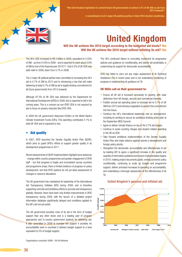

"We will introduce legislation to commit future UK governments to deliver 0.7% of UK GNI as aid from 2013 onwards."

A commitment of all 3 major UK political parties in their 2010 election manifestos.

# United Kingdom

# Will the UK achieve the 2010 target according to the budgeted aid levels? Yes Will the UK achieve the 2010 target without inflating its aid? Yes

The UK's ODA increased to €8.3 billion in 2009, equivalent to 0.52% of GNI - up from 0.43% in 2008 - and is expected to reach about 0.6% of GNI by end of the inancial year 2010/11. Only 0.5% of UK ODA was debt relief in 2009, down from 5.7% in 2008.

The 3 major UK political parties have committed to increasing the UK's aid to 0.7% of GNI by 2013 and to introducing a law that will make delivering at least 0.7% of GNI as aid a legally binding commitment for all future governments from 2013 onwards.

Although 87.5% of UK ODA was delivered by the Department for International Development (DFID) in 2009, this is expected to fall in the coming years. This is a concern as non-DFID ODA is not required by law to focus on poverty reduction like DFID ODA.

In 2009 the UK government disbursed €336m to the World Bank's Climate Investment Funds (CIFs). This spending contributed 4.1% to total UK ODA and is expected to rise.

### • Aid quality

In 2007, DFID launched the Gender Equality Action Plan (GEAP), which aims to guide DFID's efforts to support gender quality in its development programmes to 2011.

Recent assessments of GEAP implementation highlight some advances - change within country programmes and greater engagement of DFID staff - but that progress is fragile and inconsistent across countries and programme areas; there is limited evidence of progress on policy development; and that DFID systems do not yet allow assessment of changes in resource allocations.

The UK government has maintained its leadership of the International Aid Transparency Initiative (IATI) during 2009, and is therefore supporting concrete and ambitious efforts to promote aid transparency globally. However, there have been only limited improvements in DFID transparency during 2009, with the launch of a detailed project information database significantly delayed and conditions applied to the UK's aid not yet public.

The UK government provides more of its aid in the form of budget support than any other donor and is a leading user of program approaches and in-country government systems for delivering aid. It also committed in 2009 to increase the support it provides for accountability work in countries it delivers budget support to a level equivalent to 5% of budget support.

The UK's continued failure to concretely implement its progressive policies and guidance on conditionality, and deliver aid predictably, is undermining its support for democratic accountability.

DFID has failed to carry out any major assessment of its Technical Assistance (TA) in recent years and is not undertaking monitoring of progress in implementing its guidance on TA.

#### UK NGOs call on their government to:

- Ensure all UK aid is focussed exclusively on poverty, with clear distinction from UK foreign, security and commercial interests.
- Publish annual aid spending plans to increase aid to 0.7% of UK GNI from 2013 and introduce legislation to protect this commitment into the future.
- Continue the UK's international leadership role on development, including by working to secure an ambitious binding action plan at the September MDG Summit.
- Agree to deliver climate finance on top of the 0.7% aid budget.
- Continue to avoid counting refugee and student related spending in the UK as ODA.
- Take forward ambitious implementation of the Gender Equality Action Plan and make violence against women a development and foreign policy priority.
- Strengthen the democratic accountability and effectiveness of aid by leading IATI to agree a significant increase in the quality and quantity of information published and ensure implementation begins in 2010; making project documents public; ending economic policy conditionality; continuing to scale up budget and programme support; deliver promised increases in spending on accountability; and undertaking a thorough assessment of the effectiveness of its TA.



#### United Kingdom's genuine and inflated aid

Organisations consulted: UKAN - UK Aid Network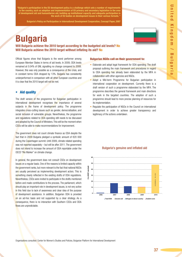"Bulgaria's participation in the EU development policy is a challenge which sets a number of requirements to the country, such as adoption and implementation of EU primary and secondary legislation in the area of development aid and humanitarian aid, building up institutional capacity and adequate participation in the work of EU bodies on development issues in their various formats. "

Bulgaria's Policy on Participation in International Development Cooperation, Concept Paper, 2007

# Bulgaria

Will Bulgaria achieve the 2010 target according to the budgeted aid levels? No Will Bulgaria achieve the 2010 target without inflating its aid? No

Official figures show that Bulgaria is the worst performer among European Member States in terms of aid levels. In 2009, ODA levels remained at 0.04% of GNI, signalling no change compared to 2008. However, this was only possible as a consequence of the crisis, and in constant terms ODA dropped by 13%. Bulgaria has consistently underperformed in comparison with all other European countries and it is clear that the 2010 target will not be met.

# • Aid quality

The draft version of the programme for Bulgarian participation in international development recognises the importance of several subjects in the frame of development policy. The programme integrates cross-cutting issues such as gender, democratisation, and social inclusion of vulnerable groups. Nevertheless, the programme and regulations related to ODA spending still needs to be discussed and adopted by the Council of Ministers. This will be the moment when CSO<sub>s</sub> will be able to make recommendations for improvement.

The government does not count climate finance as ODA despite the fact that in 2009 Bulgaria pledged a symbolic amount of €20 000 during the Copenhagen summit. Until 2009, climate related spending was not reported separately – but will be after 2011. The government does not intend to increase the amount of ODA reportable under the OECD "Rio Marker" on climate change.

In general, the government does not consult CSOs on development issues on a regular basis. One of the reasons is limited capacity within the government ranks, but more relevant is the fact that national NGOs are usually perceived as implementing development actors. This is something clearly reflected in the existing drafts of ODA regulations. Nevertheless, CSOs were invited to participate in the drafts mentioned before and made contributions to the process. The parliament, which should play an important role in development issues, is not very active in this field due to lack of awareness and clear idea of the purpose of development assistance. In addition, Bulgarian ODA is provided on an ad-hoc basis and not supported by a clear strategy. As a consequence, there is no interaction with Southern CSOs and ODA flows are unpredictable.

#### Bulgarian NGOs call on their government to:

- Elaborate and adopt legal framework for ODA spending. The draft proposal outlining the main framework and procedures in regard to ODA spending has already been elaborated by the MFA in collaboration with other agencies and NGOs.
- Adopt a Mid-term Programme for Bulgarian participation in international cooperation on development. Currently there is a draft version of such a programme elaborated by the MFA. The programme describes the general framework and main directions for work in the targeted countries. The adoption of such a programme should lead to more precise planning of resources for its implementation.
- Regulate the participation of NGOs in the Council on international development in order to achieve greater transparency and legitimacy of the actions undertaken.

### Bulgaria's genuine and inflated aid



Organisations consulted: Center for Women's Studies and Policies, Bulgarian Platform for International Development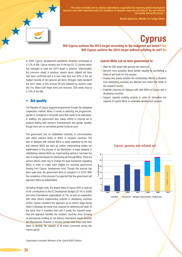

"The need to broaden and to enhance international cooperation for improving global development becomes even more important under the conditions of economic recession prevailing in the international community during this period."

Markos Kyprianou, Minister for Foreign Affairs

# **Cyprus**

# Will Cyprus achieve the 2010 target according to the budgeted aid levels? Yes Will Cyprus achieve the 2010 target without inflating its aid? No

In 2009, Cyprus' development assistance remained unchanged at 0.17% of GNI. Cyprus remains one of the two EU-12 country which has managed to meet the 2010 target in advance. Unfortunately, the concerns raised in previous reports about inflated aid have now been confirmed and it is now clear that over 40% of the aid budget consists of non-genuine aid items. Refugee costs represent the lion's share of this amount (€12m) followed by student costs (€0.7m). When both these items are removed, ODA levels drop to 0.10% of the GNI.

### • Aid quality

The Republic of Cyprus supports programmes through the delegated cooperation method. When it comes to selecting the programmes, gender is considered a horizontal issue that needs to be addressed. In addition, the government also makes efforts to channel aid to projects dealing with women's empowerment and gender equality, though there are no earmarked gender funds as such.

The government has no established channels of communication with either national NGOs or NGOs in recipient countries. The lack of dialogue with national NGOs is partly explained by the fact that national NGOs are seen as neither implementing bodies nor stakeholders in the process of aid distribution. A major obstacle in establishing national NGOs as 'implementing partners' has been the lack of a legal framework for distributing aid through NGOs. There are serious efforts under way to change the legal framework regulating NGOs in order to make them eligible for receiving government funding from Cyprus' development fund. Though this process has been quite slow, the government aims to complete it in 2010. With the completion of this process it is expected that the government will approach NGOs as stakeholders.

Excluding refugee costs, the largest share of Cyprus ODA is made up of the contributions to the EC Development Budget (37.5% in 2008) and other international organisations (4.7%), as well as cooperation with other donors implementing projects in developing countries (4.6%). Cyprus considers this approach as an interim stage during which it develops the know-how required for delivering aid itself. At the same time it considers that until it builds the required knowhow this approach benefits the recipient countries since focusing on prematurely building an aid delivery mechanism would diminish aid effectiveness. However, it remains unclear what steps have been taken to develop the capacity of all actors concerned during this interim period.

#### Cypriot NGOs call on their government to:

- Meet its ODA target with genuine aid resources.
- Become more proactive about gender equality by earmarking a share of aid funds for this purpose.
- Analyse and assess whether the scholarships offered to students from developing countries are effective and match the needs of the recipient country.
- Establish channels for dialogue with both NGOs in Cyprus and in developing countries.
- Support capacity building projects in order to strengthen the capacity of Cypriot NGOs to undertake development projects.

### Cyprus' genuine and inflated aid



**Total ODA Genuine aid Refugees in donor country Busicial Student costs**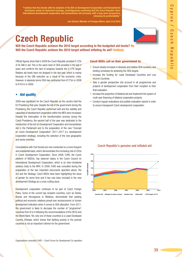"I believe that the Senate with its adoption of the Bill on Development Cooperation and Humanitarian Assistance sends an important message, unambiguously conirming that the Czech Republic takes international development cooperation and humanitarian aid seriously, with a long-term perspective, stressing its predictability."

Jan Kohout, Minister of Foreign Affairs, April 21st 2010

# Czech Republic



Will the Czech Republic achieve the 2010 target according to the budgeted aid levels? No Will the Czech Republic achieve the 2010 target without inflating its aid? Unlikely

Oficial igures show that in 2009 the Czech Republic provided 0.12% of its GNI in aid. This is the same level of ODA provided in the last 4 years and confirms the lack of progress towards the 0.17% target. Relative aid levels have not dropped in the last year, which is mainly because of the GNI reduction as a result of the economic crisis. However, in absolute terms ODA has contracted from €173m in 2008 to €161m in 2009.

### • Aid quality

2009 was significant for the Czech Republic as the country held the EU Presidency that year. Despite the fall of the government during the Presidency, the Czech Republic performed well and the visibility and capacities of development cooperation within the MFA were increased. Despite the interruption of the transformation process during the Czech Presidency, the second half of the year was dedicated to the introduction of the Act on Development Cooperation and Humanitarian Aid in the Parliament and to the preparation of the new "Concept on Czech Development Cooperation" 2011–2017 (i.e. development cooperation strategy), including the selection of the new geographic and sector priorities.

Consultations with Civil Society are now conducted on a more frequent and substantial basis, which demonstrates the increasing role of CSOs in Czech Development Cooperation. Since 2008, FoRS, the Czech platform of NGDOs, has observer status in the Czech Council on International Development Cooperation, which is an inter-ministerial advisory body to the MFA. In 2009, FoRS was consulted during the preparation of the two important documents specified above, the Act and the Strategy. Czech NGOs have been highlighting the issue of gender for some time and it has now been included in the new development Strategy as a cross-cutting issue.

Development cooperation continues to be part of Czech Foreign Policy. Some of the current top recipient countries, such as Serbia, Bosnia and Herzegovina or Moldova, demonstrate that existing political and economic relations prevail over socioeconomic or human development indicators when it comes to ODA allocation. From 2011, the government is likely to decrease the number of "programme" countries from 8 to 4 following the recommendations of the OECD and the World Bank. Yet, only one of these countries is a Least Developed Country, Ethiopia, which shows that fighting poverty in the poorest countries is not an important criterion for the government.

#### Czech NGOs call on their government to:

- Ensure steady increases in absolute and relative ODA numbers, and binding schedules for achieving the ODA targets.
- Increase the funding for Least Developed Countries and Low Income Countries.
- Take a gender perspective into account in all programmes and projects of development cooperation from their inception to their final evaluation.
- Increase the proportion of bilateral aid and implement the system of multi-year financing of bilateral cooperation projects.
- Conduct regular evaluations and publish evaluation reports in order to ensure transparent Czech development cooperation.

### **Czech Republic's genuine and inflated aid**

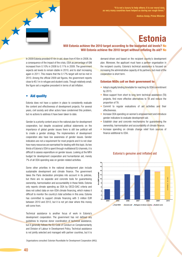

Andrus Ansip, Prime Minister

**Estonia** 

# Will Estonia achieve the 2010 target according to the budgeted aid levels? No Will Estonia achieve the 2010 target without inflating its aid? No

In 2009 Estonia provided €14m in aid, down from €16m in 2008. As a consequence of the impact of the crisis, ODA as percentage of GNI increased from 0.10% in 2008 to 0.11% in 2009. The government expects aid levels to remain stable in 2010, and to start increasing again in 2011. This means that the 0.17% target will not be met in 2010. Among the oficial 2009 aid igures, the government reports close to €0.1m in refugee and student costs. Though relatively small, the figure set a negative precedent in terms of aid inflation.

# • Aid quality

Estonia does not have a system in place to consistently evaluate the content and effectiveness of development projects. For several years, civil society and other actors have condemned this problem, but no actions to address it have been taken to date.

Gender is a priority content area in the national plan for development cooperation, but despite occasional political statements on the importance of global gender issues there is still low political will to create a gender strategy. The implementers of development cooperation also have low awareness of gender issues. Gender indicators are not a requirement for most projects and it is not clear how many resources are earmarked for dealing with this topic. As two thirds of Estonia's ODA is spent through multilateral EU channels, it is dificult to assess expenditure on gender issues. Looking at the MFA budget for development cooperation and humanitarian aid, merely 7% of all ODA spending was on gender-related activities.

Some other priorities in the national development plan include sustainable development and climate finance. The government takes the Paris declaration principles into account in its policies, but there are no separate and concrete tools for guaranteeing ownership, harmonisation and accountability in these fields. Estonia only reports climate spending as ODA by OECD-DAC criteria and does not collect data on non-ODA climate financing, which makes it dificult to monitor the country's total activities in this area. Estonia has committed to support climate financing with 3 million EUR between 2010 and 2012, but it is not yet clear where this money will come from.

Technical assistance is another focus of work in Estonia's development cooperation. The government has not defined any guidelines to improve donor coordination of technical assistance, but it generally follows the EU Code of Conduct on Complementarity and Division of Labour in Development Policy. Technical assistance is not jointly selected and managed with partner countries, but it is

Organisations consulted: Estonian Roundtable for Development Cooperation (AKU).

demand-driven and based on the recipient country's development plan. Moreover, the applicant must have a partner organisation in the recipient country. Estonia's technical assistance is focused on increasing the administrative capacity of its partners, but most of the cooperation is short term.

#### Estonian NGOs call on their government to:

- Adopt a legally binding timetable for reaching its ODA commitment by 2015.
- Move support from short to long term technical assistance (TA) projects, find more effective alternatives to TA and reduce the proportion of TA.
- Commit to regular evaluations of aid activities and their effectiveness.
- Increase ODA spending on women's empowerment and introduce gender indicators to evaluate development aid.
- Establish clear and concrete mechanisms for quaranteeing the ownership, harmonisation and accountability of climate finance.
- Increase spending on climate change relief from sources of finance additional to ODA.



#### Estonia's genuine and inflated aid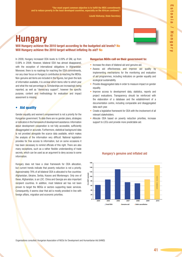m

László Várkonyi, State Secretary

# **Hungary**

Will Hungary achieve the 2010 target according to the budgeted aid levels? No Will Hungary achieve the 2010 target without inflating its aid? No

In 2009, Hungary increased ODA levels to 0.09% of GNI, up from 0.08% in 2008. However, bilateral ODA has almost disappeared, with the exception of international obligations in Afghanistan. Moreover, there is no roadmap for reaching the ODA commitments, nor any clear focus on Hungary's contribution to reaching the MDGs. Non-genuine aid items are included in the figures, but given the lack of information available, it is unclear which items refer to which year and what the real percentage is. Scholarships are increasingly being reported, as well as "democracy support", however the specific purpose, content and methodology for evaluation and impact assesment is missing.

# • Aid quality

Gender equality and women's empowerment is not a priority for the Hungarian government. To date there are no gender plans, strategies or indicators in the framework of development assistance. Information about development cooperation is not fully accessible, sufficiently disaggregated or accurate. Furthermore, statistical background data is not provided alongside the scarce data available, which makes the analysis of the information very difficult. National legislation provides for free access to information, but on some occasions it has been necessary to remind officials of this right. There are also many exceptions, such as a rather flexible understanding of trade secrets, which can be used as an argument to deny access to some information.

Hungary does not have a clear framework for ODA allocation, but current trends indicate that poverty reduction is not a priority. Approximately 78% of all bilateral ODA is allocated to five countries: Afghanistan, Ukraine, Serbia, Kosovo and Montenegro. Only one of these, Afghanistan, is an LDC. China and Georgia are also important recipient countries. In addition, most bilateral aid has not been proven to target the MDGs or sectors supporting basic services. Consequently, it seems clear that aid is mostly provided in line with foreign affairs, migration and economic priorities.

#### Hungarian NGOs call on their government to:

- Increase the share of bilateral aid and genuine aid.
- Assess aid effectiveness and improve aid quality by implementing mechanisms for the monitoring and evaluation of aid programmes, including indicators on gender equality and ecological sustainability.
- Provide disaggregated data in order to measure impact on gender equality.
- Improve access to development data, statistics, reports and project evaluations. Transparency should be reinforced with the elaboration of a database and the establishment of a documentation centre, including comparable and disaggregated data each year.
- Create a legislative framework for ODA with the involvement of all relevant stakeholders.
- Allocate ODA based on poverty reduction priorities, increase support to LDCs and provide more predictable aid.





Organisations consulted: Hungarian Association of NGOs for Development and Humanitarian Aid (HAND)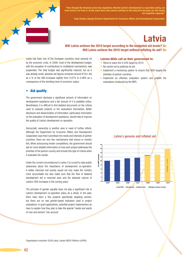

"Even though the inancial crisis has negatively affected Latvia's development co-operation policy, we have learnt a lot from it. At the same time, this cannot continue in the long term because we risk los our expertise capacity.

Evija Dumpe, Deputy Director, Department for Economic Affairs and Development Cooperation

# Latvia

# Will Latvia achieve the 2010 target according to the budgeted aid levels? No Will Latvia achieve the 2010 target without inflating its aid? No

Latvia has been one of the European countries most severely hit by the economic crisis. In 2009, most of the development budget, with the exception of contributions to multilateral mechanisms, was suspended. The total budget was significantly reduced, but as it was already small, absolute aid igures remained around €15m. Aid as a % of the GNI increased slightly from 0.07% to 0.08% as a consequence of the shrinking level of economic output.

# **Aid quality**

The government discloses a significant amount of information on development assistance and a fair amount of it is available online. Nonetheless, it is difficult to find detailed documents on the criteria used to evaluate projects or the evaluations themselves. Better disclosure and dissemination of information, particularly information on the evaluation of development assistance, should help to improve the quality of Latvia's development co-operation.

Democratic ownership is another area in need of further efforts. Although the Department for Economic Affairs and Development Cooperation says that it prioritises the needs and interests of partner countries, there are very few mechanisms that ensure or monitor this. When announcing tender competitions, the government should ask for more detailed information on how each project addresses the priorities of the partner-country and include this type of criteria when it evaluates the results.

Under the current circumstances in Latvia, it is crucial to raise public awareness about the importance of development co-operation. A better informed civil society would not only make the ministry more accountable but also make sure that the flow of bilateral development aid is resumed soon and the absolute volume of Latvia's ODA increases in the coming years.

The principle of gender equality does not play a significant role in Latvia's development co-operation policy as a whole. In the past, there have been a few projects specifically targeting women, but there are no real gender-based indicators used in project evaluations. In grant applications, potential project implementers do have to explain how they plan to take the special "needs and wants of men and women" into account.

#### Latvian NGOs call on their government to:

- Strive to reach the 0.33% target by 2015.
- Be careful not to politicise its aid.
- Implement a monitoring system to ensure that ODA targets the priorities of partner countries.
- Implement an effective evaluation system and publish the evaluations conducted by the MFA.

#### Latvia's genuine and inflated aid

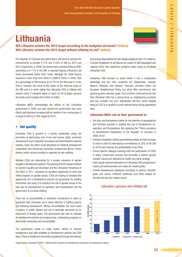"Our state will take the lead in gender equality"

Dalia Grybauskaitè, President of the Republic of Lithuania

# Lithuania

Will Lithuania achieve the 2010 target according to the budgeted aid levels? Unlikely Will Lithuania achieve the 2010 target without inflating its aid? Unlikely

The Republic of Lithuania has stated that it will strive to achieve the commitments to provide 0.17% and 0.33% of GNI by 2010 and 2015 respectively. In 2009, the Government provided €30m in ODA, amounting to 0.11% of the GNI. In absolute figures, Lithuania's aid levels plummeted below 2007 levels. Although the 2009 figures represent a €4m drop from €34m in 2008 to €30m in 2009, ODA as a percentage of GNI remains at 0.11% for the third year in a row. This is, however, the result of the impact of the financial crisis on the GNI, and it is worth noting that Lithuanian ODA is inflated with student costs. If Lithuania wants to reach its 2010 target, genuine aid levels must increase from €30m to €46m.

Lithuanian NGOs acknowledge the efforts of the Lithuanian government in 2009, but also remind the government that more efforts and extensive increases will be needed in the coming years if it wants to fulfil its 0.33% target by 2015.

# • Aid quality

Lithuanian ODA is granted in 5 priority cooperation areas: the promotion of democracy, rule of law and human rights, economic development, euro-integration processes and administrative capacity building. Given the rather small allocations for bilateral development cooperation and democracy promotion programmes (€2m), further division under vertical priorities is regarded as hair-splitting.

National CSOs are advocating for a greater relevance of gender equality in development policies. The opening of the European Institute for Gender Equality last December and the Lithuanian Presidency of the OSCE in 2011, represent an excellent opportunity to work and make progress on gender issues. CSOs are hoping to translate this opportunity into a development practice by harnessing the existing momentum and using it to reinforce the role of gender issues in the new law on Development Co-operation and Humanitarian Aid the government is currently drafting.

There are no accountability or evaluation mechanisms in place to guarantee that Lithuanian aid is being effective in fighting poverty and fostering development. Mutual accountability has never been a subject of public debate and aid is generally perceived as an instrument of foreign policy. The government also fails to evaluate its development policies and programmes, constraining progress on democratic ownership and accountability.

The government needs to make further efforts to improve transparency and data available on development policies and ODA flows. There is insufficient information published through the Internet, and activity descriptions do not include analytical data. For instance, a simple breakdown of aid figures per project is still unavailable and national CSOs face significant problems when trying to scrutinise Lithuanian ODA.

Lithuanian ODA focuses on areas where it has a comparative advantage and the main recipients are: Afghanistan, Georgia, Belarus, Moldova, and Ukraine. Thematic priorities reflect the European Neighborhood Policy, but show little commitment with general poverty reduction goals. This is further confirmed by the fact that Lithuanian ODA has a strong focus on neighbouring countries and only includes one LDC, Afghanistan (€0.8m), which despite being an LDC is a recipient country defined along strong geopolitical lines.

### Lithuanian NGOs call on their government to:

- Set clear and transparent criteria for the selection of geographical and thematic priorities in drafting the Law of Development Cooperation and Humanitarian Aid replacing the "Policy provisions of Development Cooperation of the Republic of Lithuania in 2006-2010".
- Introduce legislation setting quaranteeing steady annual increases in order to fulfil its international commitments (0.33% of the GNI by 2015) and improve the predictability of aid flows.
- Ensure specific dialogue meetings with the participation of CSOs in policy construction process and formulate a distinct gender equality, sexual and reproductive health and rights strategy.
- Start regular external evaluations of Lithuanian ODA programmes' results and achievements and make the results public.
- Provide development assistance according to poverty reduction goals and ensure sufficient additional (non-ODA) budget for climate and security related issues.



**35 40 45** 

#### Lithuania's genuine and inflated aid

**0 5 10 15 20 25 30 2004 2005 2006 2007 2008 2009 2010 € m 2007 constant Total ODA Genuine aid Student costs 2 0 1 T A R G E**

Organisations consulted: LITDEA - National NGO network for development education and awareness-raising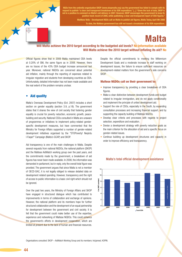NGOs from the umbrella organisation SKOP (www.skopmalta.org) say the government has failed to comply with its request to publish "a clear and transparent breakdown of its ODA expenditure." [...] "Given the lack of data, SKOP is nt on Malta's aid delivery in 2007. However, SKOP encourages the governn positive track record of 2005, while publishing a clear and transparent report of ODA igures."

To date, the Maltese government has still not issued a breakdown of its ODA ex

Matthew Vella - Development NGOs call on Malta to publish aid igures, Malta Today, April 9th 2008

# Malta

# Will Malta achieve the 2010 target according to the budgeted aid levels? No information available Will Malta achieve the 2010 target without inflating its aid? No

Official figures show that in 2009 Malta maintained ODA levels at 0.20% of GNI, the same figure as in 2008. However, there are no traces of the 43% ODA budget increase announced last year. Moreover, national NGDOs are concerned about potential aid inflation, mainly through the reporting of expenses related to irregular migration and students from developing countries as ODA. Unfortunately, detailed information has not been made available and the real extent of the problem remains unclear.

### • Aid quality

Malta's Overseas Development Policy (Oct. 2007) includes a short section on gender equality (section 3.9, p.18). The government states that it shares the view of civil society that fostering gender equality is crucial for poverty reduction, economic growth, peacebuilding and security. National CSOs consulted in Malta are unaware of programmes or initiatives to implement policy-related genderspecific development measures, but have commented that the Ministry for Foreign Affairs supported a number of gender-related development initiatives organised by the "STOPoverty! Neqirdu l-Faqar!" Campaign (Malta's GCAP) and SKOP.

Aid transparency is one of the main challenges in Malta. Despite several requests from national NGDOs, the national platform (SKOP) and the Maltese AidWatch working group over the past years, and the commitments made by the government, a breakdown of aid igures has never been made available. In 2008, the information was demanded in parliament, but in reply, only the overall total figure was provided. The government argues that since Malta is not a member of OECD-DAC, it is not legally obliged to release detailed data on development related spending. However, transparency and the right of access to public information is a basic civil right which should not be ignored.

Over the past two years, the Ministry of Foreign Affairs and SKOP have engaged in structured dialogue which has contributed to improvements in terms of collaboration and exchange of opinions. However, the national platform and its members hope for further structured collaboration and the development of an equal partnership for development between the government and civil society. It is felt that the government could make better use of the expertise, experience and networking of Maltese NGDOs. This could enhance the government's efforts in development cooperation, which are limited at present due to the lack of human and financial resources.

Despite the oficial commitments to meeting the Millennium Development Goals and a moderate increase in staff working on development issues, the failure to ensure sufficient resources on development-related matters from the government's side concerns SKOP.

#### Maltese NGDOs call on their government to:

- Improve transparency by providing a clear breakdown of ODA figures.
- Make a clear distinction between development funds and budget related to irregular immigration, and do not apply conditionality and implement the principle of untied development aid.
- Support the role of CSOs, especially in the South, by expanding consultation processes and increasing financial support, and by supporting the capacity building of Maltese NGDOs.
- Develop clear criteria and processes with regards to project selection, expenditure and evaluation.
- Devise a development strategy with poverty reduction goals as the main criterion for the allocation of aid and a specific focus on gender-related issues.
- Continue building up development structures and capacity in order to improve efficiency and transparency.



#### Malta's total oficial development assistance

Organisations consulted: SKOP – AidWatch Working Group and its members: Inizjamed, KOPIN.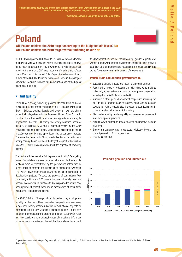"Poland is a large country. We are the 18th biggest economy in the world and the 6th biggest in the EU. If we have ambition to play an important role, we have to be a substantial donor."

Paweł Wojciechowski, Deputy Minister of Foreign Affairs

# Poland

# Will Poland achieve the 2010 target according to the budgeted aid levels? No Will Poland achieve the 2010 target without inflating its aid? No

In 2009, Poland provided 0.08% of its GNI as ODA, the same level as the previous year. With only one year to go, it is clear that Poland will fail to reach its target of 0.17% of GNI by 2010. Additionally, close to 9% of the country's ODA was made up of student and refugee costs. When this is discounted, Poland's genuine aid amounts to only 0.07% of the GNI. The failure to increase aid levels in the past year shows that Poland is failing to pull its weight as one of the biggest economies in Europe.

# • Aid quality

Polish ODA is strongly driven by political interests. Most of the aid is allocated to four target countries of the EU Eastern Partnership  $(EqP)$  – Belarus, Ukraine, Georgia and Moldova – with the aim to foster their integration with the European Union. Poland's priority countries for aid expenditure also include Afghanistan and Angola. Afghanistan, the only LDC among the priority countries, accounts for 30% of bilateral ODA and is managed mostly by the Army Provincial Reconstruction Team. Development assistance to Angola in 2009 was mostly made up of loans tied to domestic interests. The same happened with China, which despite not featuring as a priority country, has in fact been the largest recipient of bilateral aid since 2007. Aid to China is provided with the objective of promoting exports.

The relationship between the Polish government and NGOs is getting worse. Consultation processes can be better described as a public relations exercise orchestrated by the government, rather than as a real effort to promote the principles of democratic ownership. The Polish government treats NGOs mainly as implementers of development projects. To date, the process of consultation feels completely artificial and NGO contributions are not usually taken into account. Moreover, NGO initiatives to discuss policy documents have been ignored. At present there are no mechanisms of consultation with partner countries whatsoever.

The 2003 Polish Aid Strategy includes limited wording about gender equality, but this has not been translated into practice (no earmarked budget lines, priority sectors, indicators for evaluation or any detailed information on the ODA volumes allocated to gender). As the MFA stated in a recent letter: "the drafting of a gender strategy for Polish aid is not possible, among others, because of the cultural differences in the partners' countries and the fact that the sustainable approach to development is per se mainstreaming gender equality and women's empowerment into development practices". This shows a total lack of understanding and recognition of gender equality and women's empowerment in the context of development.

#### Polish NGOs call on their government to:

- Establish a binding timetable to reach its aid commitments.
- Focus aid on poverty reduction and align development aid to universally agreed sets of standards on development cooperation, including the Paris Declaration and AAA.
- Introduce a strategy on development cooperation requiring the MFA to put a greater focus on poverty, rights and democratic ownership. Poland should also introduce proper legislation in order to be able to implement this strategy.
- Start mainstreaming gender equality and women's empowerment in all development practices.
- Align ODA with partner countries' priorities and improve dialogue with them.
- Ensure transparency and cross-sector dialogue beyond the current promotion of aid programmes.
- Join the OECD DAC.



#### Poland's genuine and inflated aid

Organisations consulted: Grupa Zagranica (Polish platform), including: Polish Humanitarian Action, Polish Green Network and the Institute of Global Responsibility.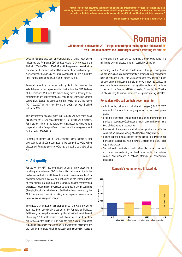

"There is no better answer to the many challenges and problems that we face internationally than solidarity. Sooner or later we will all be faced with dificult problems to solve. But then, with partners on our side, or the international community as a whole, no dificulty will be impossible to overcome.''

Traian Basescu, President of Romania, January 2010

# Romania

# Will Romania achieve the 2010 target according to the budgeted aid levels? No Will Romania achieve the 2010 target without inflating its aid? No

2009 in Romania was both an electoral and a "crisis" year, which influenced the Romanian ODA budget. Overall ODA dropped from €94m in 2008 to €91m in 2009. Most of this represents the obligatory contribution of Romania to the EU development cooperation budget. Nervertheless, the Ministry of Foreign Affairs (MFA) ODA budget for 2010 for bilateral aid doubled, from €1.9m to €3.8m.

Renewed intentions to revise existing legislation foresee the establishment of an Implementation Unit within the ODA Division of the Romanian MFA with the aim to bring more autonomy to the programming and implementation of national policy for development cooperation. Everything depends on the revision of the legislation (HG 747/2007) which, since the end of 2008, has been blocked within the MFA.

This positive trend does not mean that Romania will even come close to achieving the 0.17% of GNI target in 2010. Political will is missing. For instance, there is no reference whatsoever to development cooperation in the foreign affairs programme of the new government for the period 2009-2012.

In terms of inflated aid in 2009, student costs (almost €21m) and debt relief  $(€1.9m)$  continued to be counted as ODA. When discounted, Romania sees the ODA igure dropping to 0.06% of its GNI.

### • Aid quality

For 2010, the MFA has committed to being more proactive in providing information on ODA to the public and sharing it with the parliament and other institutions. Information available on the ODA dedicated website is scarce, as a relection of the limited number of development programmes and seemingly absent programming exercises. No reporting of the assistance awarded to priority countries (Georgia, Republic of Moldova and Serbia) has been released by the MFA. The process of decision-making in development cooperation in Romania is confusing and opaque.

The MFA's ODA budget for bilateral aid in 2010 is €3.8m of which €2m has been speciically allocated to the Republic of Moldova. Additionally, in a surprise move during his visit to Chisinau at the end of January 2010, the Romanian president announced supplementary aid to the country worth  $\epsilon$ 100m over the next 4 years. This shifts substantial resources and attention to development assistance for the neighbouring state which is politically and historically important

to Romania. The €100m will be managed directly by Romanian line ministries, which indicates a certain possibility of tied aid.

According to the National Development Strategy, development education is a particularly important field of development cooperation policies, although in 2009 the MFA continued to provide little support for development education at national level. In order to achieve its own commitments to awareness raising at home, Romania continues to rely heavily on Romanian NGOs accessing EU funding. In 2010 the situation is likely to worsen, with even less public funding allocated.

#### Romanian NGOs call on their government to:

- Adopt the legislative and institutional changes (HG 747/2007) needed for Romania to actually implement its own development policy.
- Elaborate transparent annual and multi-annual programmes and provide an adequate ODA budget to match its commitments in the field of development cooperation.
- Improve aid transparency and allow for genuine and effective consultation with civil society at all levels of policy-making.
- Ensure that the funds allocated for the Republic of Moldova are provided in accordance with the Paris Declaration and the Accra Agenda for Action.
- Support and coordinate a multi-stakeholder process to reach a common understanding of development within the national context and elaborate a national strategy for development education.



#### Romania's genuine and inflated aid

Organisations consulted: FOND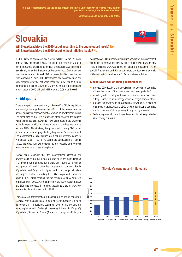"It is our responsibility to use the limited amount of bilateral ODA effectively in order to really help the people make a change and improve their lives."

Miroslav Laj**č**ák, Minister of Foreign Affairs

# Slovakia

# Will Slovakia achieve the 2010 target according to the budgeted aid levels? No Will Slovakia achieve the 2010 target without inflating its aid? No

In 2009, Slovakia decreased its aid levels to 0.08% of the GNI, down from 0.10% the previous year. The drop from €65m in 2008 to €54m in 2009 is explained by the lack of debt relief. Aid igures are also slightly inflated with student and refugee costs. On the positive side, the amount of bilateral ODA increased by  $\epsilon$ 2m over the last year, to reach €7.5m in 2009. Nonetheless, the economic crisis and slow progress over the last years mean that it will fail to fulfil its commitment to reach 0.17% of GNI by 2010. Current estimations predict that the 2010 aid level will be around 0.08% of the GNI.

# **Aid quality**

There is no specific gender strategy in Slovak ODA. Official regulations acknowledge the importance of the MDGs, but they do not prioritise gender equality or empowerment of women as development issues. The small size of the ODA budget and other priorities the country wants to address as a 'new donor' have contributed to the low profile of gender equality, which is not one of the main priorities even among national NGOs. Nonetheless, the government is using ODA money to fund a number of projects targeting women's empowerment. The government is also working on a country strategy paper for Afghanistan 2011 - 2013. Following the suggestions of national NGOs, this document will consider gender equality and women's empowerment as a cross-cutting issue.

Slovak NGOs consider that the geographical allocation and poverty focus of the aid budget are moving in the right direction. The medium-term strategy for Slovak ODA 2009-2013 deines two groups of priority countries: programme countries, Serbia, Afghanistan and Kenya, with higher priority and budget allocation; and project countries, including the LDCs Ethiopia and Sudan and other 4 LICs. Serbia remains the top recipient of ODA with 39% of project aid in 2009. At the same time, the list of recipient LDCs and LICs has increased in number, though its share of ODA only represented 24% of project aid in 2009.

Conversely, aid fragmentation is becoming a source of concern in Slovakia. With a small bilateral budget of €7.5m, Slovakia is funding 45 projects in 14 recipient countries. Most of this projects are being implemented in Serbia (11 projects), followed by Kenya (5), Afghanistan, Sudan and Bosnia (4 in each country). In addition, the destination of ODA in recipient countries shows that the government still needs to improve the poverty focus of aid flows. In 2009, only 13% of bilateral ODA was spent on health and education, 4% on social infrastructure and 5% for agriculture and food security, while 49% went to infrastructure and 11% for business activities.

#### Slovak NGOs call on their government to:

- Increase ODA despite the financial crisis (the developing countries will feel the impact of the crises more than developed crisis).
- Include gender equality and women's empowerment as crosscutting issues in country strategy papers for programme countries.
- Increase the poverty and MDGs focus of Slovak ODA, allocate at least 50% of project ODA to LDCs or other low income countries and limit the use of aid in pursuing foreign policy interests.
- Reduce fragmentation and transaction costs by defining a shorter list of priority countries.



#### Slovakia's genuine and inflated aid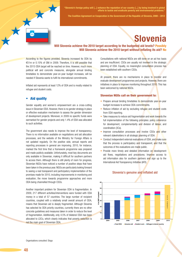

"Slovenia's foreign policy will [...] enhance the reputation of our country [...] by being involved in global efforts to tackle and eradicate poverty and environmental problems."

The Coalition Agreement on Cooperation in the Government of the Republic of Slovenia, 2008 – 2012

# Slovenia

# Will Slovenia achieve the 2010 target according to the budgeted aid levels? Possibly Will Slovenia achieve the 2010 target without inflating its aid? No

According to the figures provided, Slovenia increased its ODA by €51m or 0.15% of GNI in 2009. Therefore, it is still possible that the 2015 ODA target will be reached on time. However, much more political will and concrete measures, alongside annual binding timetables to demonstrate year-on-year budget increases, will be needed if SIovenia wants to fulil its international commitments.

Inflated aid represents at least 12% of ODA and is mostly related to refugee and student costs.

### • Aid quality

Gender equality and women's empowerment are a cross-cutting issue in Slovenian ODA. However, there is no gender strategy in place or effective evaluation mechanism to assess the gender dimension of development projects. Moreover, in 2009 no speciic funds were earmarked for gender projects and only 1.4% of ODA was allocated to such activities.

The government also needs to improve the level of transparency. There is no information available on negotiations and aid allocation processes, and the website of the Ministry for Foreign Affairs is not updated regularly. On the positive side, annual reports and reporting processes in general are improving. 2010, for instance, marked the irst time that a framework programme was prepared and made publicly available. Unfortunately, most key documents are only available in Slovenian, making it dificult for southern partners to access them. Although there is still plenty of room for progress, Slovenian NGOs have noticed a number of positive steps that have been taken in the previous year. NGOs are particularly looking forward to seeing a real transparent and participatory implementation of the promises made for 2010, including improvements in monitoring and evaluation, the move towards programme approaches and more ODA being channelled through CSOs.

Another important problem for Slovenian ODA is fragmentation. In 2009, 217 different activities/interventions were funded with ODA money in a total of 57 countries. The large number of recipient countries, coupled with a relatively small overall amount of ODA, means that Slovenian aid is deeply fragmented. Although Slovenia has selected its ODA priority countries, currently there are no other concrete guidelines and measures taken in order to reduce the level of fragmentation. Additionally, only 4.5% of bilateral ODA has been allocated to LDCs, which clearly indicates that poverty reduction is not the main goal of Slovenian ODA.

Consultations with national NGOs are still done on an ad hoc basis and are insuficient. CSOs are usually not involved in the strategic planning of ODA. Equally, no meaningful consultation process has been established with southern CSOs.

At present, there are no mechanisms in place to monitor and evaluate development programmes and projects. However, there are initiatives in place to improve monitoring throughout 2010. This has been welcomed by national NGOs.

#### Slovenian NGOs call on their government to:

- Prepare annual binding timetables to demonstrate year-on-year budget increases to achieve ODA commitments.
- Reduce inflation of aid by excluding refugee and student costs from ODA reporting.
- Take measures to reduce aid fragmentation and work towards the full implementation of the following principles: policy coherence for development, complementarity and division of labour, and coordination (3Cs).
- Improve consultation processes and involve CSOs and other relevant stakeholders in all strategic planning of ODA.
- Conduct independent external evaluations of ODA, and make sure that the process is participatory and transparent, and that the outcomes of the evaluations are made public.
- Provide more timely and detailed information on development aid flows, negotiations and procedures. Improve access to aid information also for southern partners and sign up to the International Aid Transparency Initiative (IATI).



#### Slovenia's genuine and inflated aid

Organisations consulted: Sloga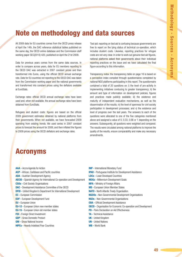# Note on methodology and data sources

All 2009 data for EU countries comes from the OECD press release of April the 14th, the DAC reference statistical tables published on the same day, the OECD online database and the Commission staff working paper SEC(2010) 420, published on April the 21st 2009.

Data for previous years comes from the same data sources. In order to compare across years, data for EU members reporting to the OECD DAC was extracted in 2007 constant prices and then transformed into Euros, using the oficial OECD annual exchange rate. Data for EU countries not reporting to the OECD DAC was taken from the Commission working paper and the national governments and transformed into constant prices using the deflators available at EuroStats.

Exchange rates: official OECD annual exchange rates have been used and, when not available, the annual exchange rates have been obtained from EuroStats.

Refugees and student costs: figures are based on the official 2009 government estimates obtained by national platforms from their governments. When not available, we have forecasted 2009 spending from existing trends. We used series in 2007 constant prices to forecast the amount for 2009, and then inflated the figures to 2009 prices using the OECD deflators and exchange rates.

Tied aid: reporting on tied aid is confusing because governments are free to report on the tying status of technical co-operation, which includes student costs. Likewise, reporting practices for refugee costs are not very clear. In order to work out genuine tied aid igures, national platforms asked their governments about their individual reporting practices on the issue and we have calculated the inal igure according to this information.

Transparency index: the transparency table on page 16 is based on a perception index compiled through questionnaires completed by national NGO platforms participating in this report. The questionnaire contained a total of 20 questions on: i) the level of pro-activity in implementing initiatives conducing to greater transparency; ii) the amount and type of information on development policies, figures and practices made publicly available; iii) the existence and maturity of independent evaluation mechanisms, as well as the dissemination of the results; iv) the level of openness for civil society participation in development processes; and v) the existence and level of progress over the last years. The answers to each of the questions were allocated to one of the five categories mentioned above and assigned a value of 0, 0.33, 0.66 or 1 depending on the answers. Subsequently, all questions were weighted and compared. The results were circulated among national platforms to improve the quality of the results, ensure comparability and make any necessary amendments.

# Acronyms

- AAA Accra Agenda for Action
- ACP African, Caribbean and Pacific countries
- ADA Austrian Development Agency
- AECID Spanish Agency for International Co-operation and Development
- **CSOs** Civil Society Organisations
- **DAC** Development Assistance Committee of the OECD
- DFID United Kingdom's Department for International Development
- EC European Commission
- EDF European Development Fund
- EU European Union
- EU-12 European Union new member states
- EU-15 European Union old member states
- FDI Foreign Direct Investment
- GDP Gross Domestic Product
- GNI Gross National Income
- **HIPCs Heavily Indebted Poor Countries**
- IMF International Monetary Fund
- IPAD Portuguese Institute for Development Assistance
- LDCs Least Developed Countries
- MDGs Millennium Development Goals
- **MFA Ministry of Foreign Affairs**
- MS European Union Member States
- **NATO** North Atlantic Treaty Organisation
- NGDOs Non-Governmental Development Organisations
- NGOs Non-Governmental Organisations
- **ODA** Official Development Assistance
- OECD Organisation for Economic Co-operation and Development
- PD Paris Declaration on Aid Effectiveness
- TA Technical Assistance
- UK United Kingdom
- **UN** United Nations
- WB World Bank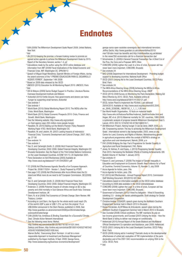# **Endnotes**

- <sup>1</sup> SUN (2009) The Millennium Development Goals Report 2009. United Nations, New York
- <sup>2</sup>Ibid
- <sup>3</sup> UN (2010) Keeping the promise: a forward looking review to promote an agreed action agenda to achieve the Millenium Development Goals by 2015. Report of the Secretary General, section 1.4, p2
- <sup>4</sup> Calculations made by the author using the OECD online database and information from IMF (2009) Fiscal Implications of the Global Economic and Financial Crisis. IMF: Washington DC. SPN/09/13
- <sup>5</sup> Speech of Miquel Ángel Moratinos, Spanish Ministry of Foreign Affairs, during the award ceremony of the "I PREMIO EDUACACION PARA EL DESARROLLO VICENTE FERRER", September 14th 2009
- <sup>6</sup> Based on 2009 data released by the OECD

\*\*

- <sup>7</sup>UNESCO (2010) Education for All Monitoring Report 2010. UNESCO, Paris <sup>8</sup> Ibid
- <sup>9</sup> ODI & Mokoro (2009) Sector Budget Support in Practice. Literature Review. Overseas Development Institute and Mokoro
- <sup>10</sup> ActionAid (2010) Fertile Ground. How governments and donors can halve hunger by supporting small farmers. ActionAid
- <sup>11</sup> See endnote 1
- <sup>12</sup> See endnote 1
- <sup>13</sup> World Bank (2010) Global Monitoring Report 2010. The MDGs after the Crisis. World Bank, Washington
- <sup>14</sup> World Bank (2010) Global Economic Prospects 2010: Crisis, Finance and Growth. World Bank, Washington
- <sup>15</sup> See the following website: http://www.wfp.org/content/
- un-food-agency-says-200-million-more-people-hungry
- <sup>16</sup> Ravaillon, M. (2010) Bailing out the World's Poorest. Policy Research Working Paper 4763. World Bank, Washington DC
- <sup>17</sup> Ravallion, M. and Lokshin, M. (2007) Lasting Impacts of Indonesia's Financial Crisis," Economic Development and Cultural Change, 2007, 56(1), pp. 27-56
- <sup>18</sup> See endnote 14
- <sup>19</sup> See endnote 1
- <sup>20</sup> Kar, D. and Cartwright-Smith, D. (2009) Illicit Financial Flows from
- Developing Countries: 2002-2006. Global Financial Integrity, Washington DC <sup>21</sup> Brussels Declaration. See the Report of the Third United Nations Conference on the Least Developed Countries. A/CONF.191/13, 20 September 2001.
- <sup>22</sup> Paris Declaration on Aid Effectiveness (2005) Available at: http://www.oecd.org/dataoecd/11/41/34428351.pdf
- <sup>24</sup> EC (2009) Aid Effectiveness Agenda: Benefits of an European Annroach. Project No. 2008/170204 - Version 1. Study Prepared by HTSPE
- <sup>25</sup> See page 3 EC (2009) Aid Effectiveness after Accra Where does the EU stand and What more do we need to do? European Commission. SEC(2009) 443
- <sup>26</sup> Kar, D. and Cartwright-Smith, D. (2009) Illicit Financial Flows from Developing Countries: 2002-2006. Global Financial Integrity, Washington DC
- <sup>27</sup> Anderson, E. (2006) Potential impacts of climate change on \$2-a-day poverty and child mortality in Sub-Saharan Africa and South Asia. Overseas Development Institute, UK
- <sup>28</sup> Stern, N. et al (2006) The Economics of Climate Change: Stern Review. HM Treasury, London
- <sup>29</sup> According to Lord Stern, the figure for the whole world could reach 2% of the world's GDP a year or US\$ 1.21tr, up from the original 1% or US\$ 600bn announced in the Stern Review, published in 2006. See: http://www.guardian.co.uk/environment/2008/jun/26/climatechange. scienceofclimatechange
- <sup>30</sup> CAN (2009) Fair, Ambitious & Binding: Essentials for a Successful Climate Deal. Climate Action Network International
- <sup>31</sup> See the following news items: Merkel, http://online.wsj.com/article/SB125785716192141031.html; Sarkozy and Brown, http://online.wsj.com/article/SB100014240527487042 40504574585894254931438.html;

 Warren Buffet, 'Overcoming Short-Termism : A call for a more responsible Approach to Investment and Business Management' published by the Aspen Institute, 9 Sept. 2009; George Soros, http://www.asiasociety.org/business-economics/development/

george-soros-open-societies-sovereignty-and-international-terrorism; Jeffrey Sachs, http://www.guardian.co.uk/commentisfree/2010/ mar/18/robin-hood-tax-benefits and http://robinhoodtax.org.uk/debate/ in-the-news/350-economists-call-for-a-financial-transaction-tax/

- <sup>32</sup> Schulmeister, S. (2009) A General Financial Transaction Tax: A Short Cut of the Pros, the Cons and a Proposal. WIFO, Wien
- 33 CONCORD (2009) Lighten the Load: In a time of crisis, European aid has never been more important. CONCORD, Brussels
- <sup>34</sup> See endnote 24
- <sup>35</sup> NAO (2008) Department for International Development Providing budget support to developing countries. National Audit Office
- 36 OECD (2001) Untying Aid to the Least Developed Countries. OECD Policy Brief, Paris
- <sup>37</sup> See endnote 24
- 38 The MDG Africa Steering Group (2008) Achieving the MDGs in Africa. Recommendations of the MDG Africa Steering Group. UNDP
- <sup>39</sup> OECD (2010) 2008 Survey on Monitoring the Paris Declaration. Making Aid More Effective by 2010. OECD, Paris. Available online at: http://www.oecd.org/dataoecd/58/41/41202121.pdf
- <sup>40</sup> OECD, Action Pland to Implement the PD/AAA. Last retrieved 29/04/2010. Available at: http://www.oecd.org/document/6/0,3343, en\_2649\_3236398\_18638150\_1\_1\_1\_1,00.html
- <sup>41</sup> See World Health Organisation, 10 facts on maternal health http://www.who.int/features/factfiles/maternal\_health/en/index.html and Hogan, MC et al. (2010) Maternal mortality for 181 countries, 1980-2008: a systematic analysis of progress towards Millennium Development Goal 5. Lancet, 2010. DOI:10.1016/SO140-6736(10)60518-1.
- <sup>42</sup> UN Millennium Project, Halving hunger: It can be done, UNDP, 2005, p.5; UN, 'Empowering women: The key to achieving the Millennium Development Goals', International women's day backgrounder, 2003, www.un.org; Centre for Land, Economy and Rights of Women, Mainstreaming gender in agricultural programmes within the context of NEPAD's strategy on agriculture and rural development, Nairobi, 2006, p.iv
- <sup>43</sup> FAO (2009) Bridging the Gap: Fao's Programme for Gender Equality in Agriculture and Rural Development. FAO, Rome
- <sup>44</sup> Jones, N; Holmes, R, and Espey, J. (2010) Progressing Gender Equality Post-2015: Harnessing the Multiplier Effects of Existing Achievements. IDS Bulletin Volume 41 Number 1 January 2010.
- 45 See endnote 41
- <sup>46</sup> Klasem S. and Lammana, F. (2009) The Impact of Gender Inequality in Education and Employment on Economic Growth: New Evidence for a Panel of Countries. Feminist Economics, Volume 15, Number 3, July 2009
- 47 Accra Agenda for Action, para. 24a
- <sup>48</sup>Accra Agenda for Action, para. 25b
- <sup>49</sup> EC (2010) Aid Effectiveness Annual Progress Report 2010. Commission Staff Working Document. SEC(2010) 422 final
- <sup>50</sup> Calculations based on information available on the OECD online database
- <sup>51</sup> According to 2008 data available in the OECD onlinedatabase
- <sup>52</sup> CONCORD (2009) Lighten the Load. In a time of crisis, European aid has never been more important. CONCORD, Brussels.
- <sup>53</sup> Government of Denmark (2010) Frihed fra fattigdom frihed til forandring Udvikling 2.0 - strategi for dansk udviklingspolitik. Draft strategy for Danish Development Cooperation.
- <sup>54</sup> Christine Andela, COSADER, speech given during the AidWatch Southern Engagement Seminar held in March 2010 in Brussels
- 55 Ruben Fernández, ALOP/Mesa de Articulación, speech given during the AidWatch Southern Engagement Seminar held in March 2010 in Brussels
- <sup>56</sup> See: Eurodad (2008) Critical conditions: The IMF maintains its grip on low-income governments; and Eurodad (2007) Untying the knots - How the World Bank is failing to deliver real change on conditionality.
- <sup>57</sup> Hellenicaid (2010) Annual Report of the Greek Bilateral and Multilateral Oficial Development Co-operation and Assistance, year 2008. Hellenicaid
- 58 OECD (2001) Untying Aid to the Least Developed Countries. OECD Policy Brief, Paris
- <sup>59</sup> OECD (2009) Untying aid: Is it working? Thematic study on the developmental effectiveness of untied aid: evaluation of THE implementation of the paris declaration and of the 2001 DAC recommendation on untying ODA to the LDCs. OECD, Paris
- <sup>60</sup> Ibid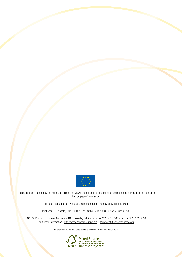

This report is co-financed by the European Union. The views expressed in this publication do not necessarily reflect the opinion of the European Commission.

This report is supported by a grant from Foundation Open Society Institute (Zug).

Publisher: O. Consolo, CONCORD, 10 sq. Ambiorix, B-1000 Brussels. June 2010.

CONCORD a.i.s.b.l : Square Ambiorix - 100 Brussels, Belgium - Tel: +32 2 743 87 60 - Fax : +32 2 732 19 34 For further information : http://www.concordeurope.org - secretariat@concordeurope.org

This publication has not been bleached and is printed on environmental friendly paper.